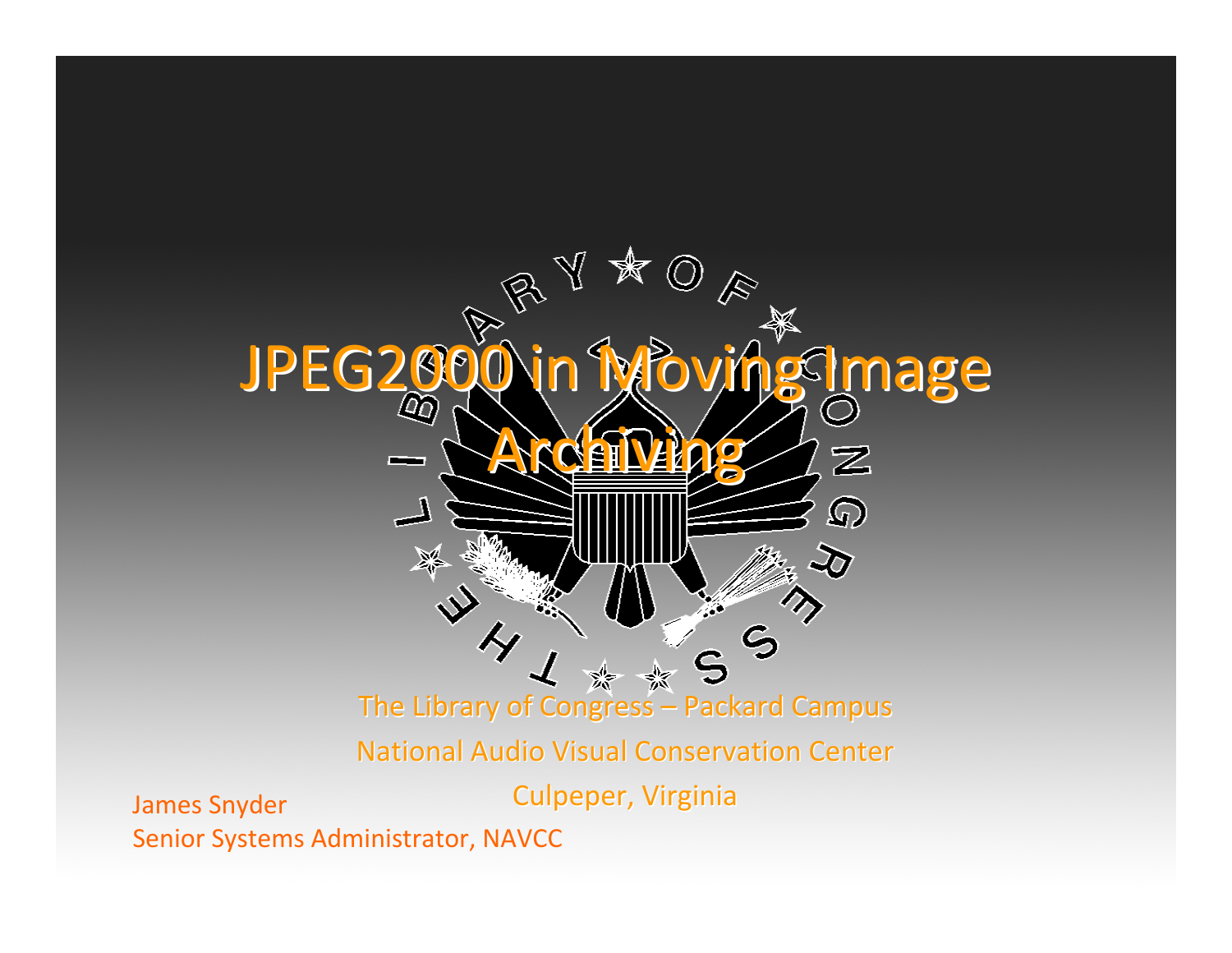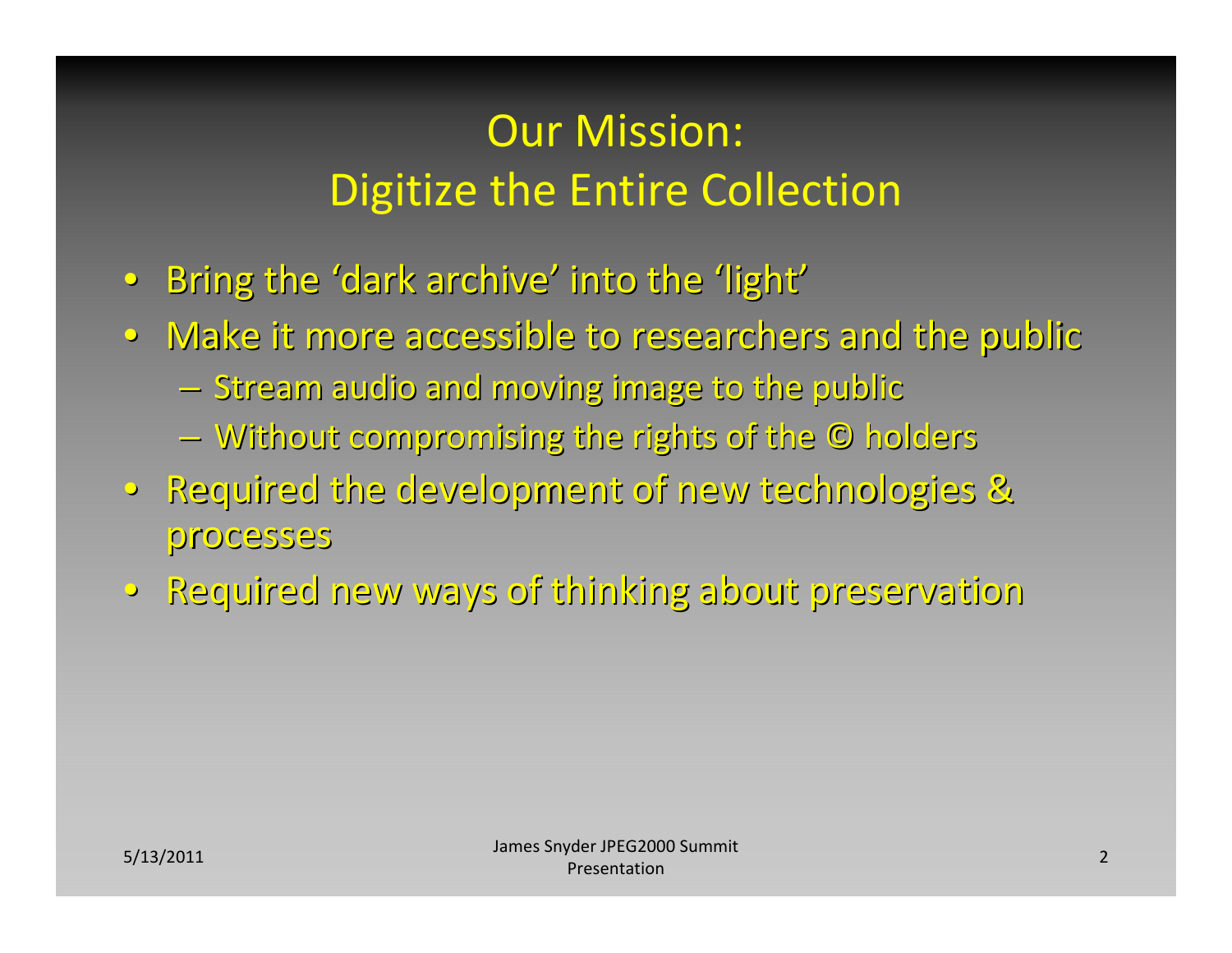#### Our Mission: Digitize the Entire Collection

- Bring the 'dark archive' into the 'light'
- Make it more accessible to researchers and the public
	- –Stream audio and moving image to the public
	- $-$  Without compromising the rights of the © holders
- Required the development of new technologies & processes
- •Required Required new ways of thinking thinking about preservation preservation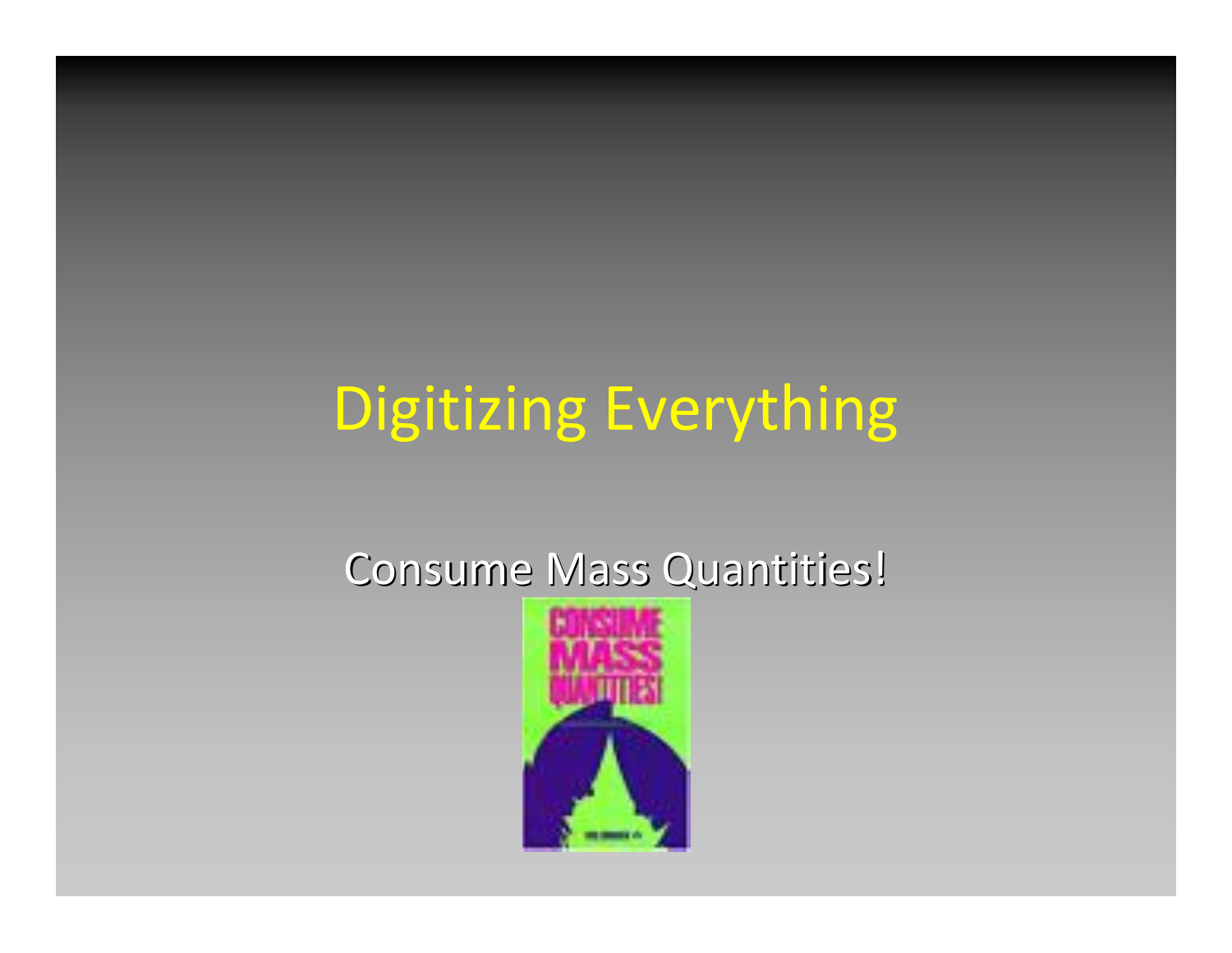# Digitizing Everything

#### Consume Mass Quantities!

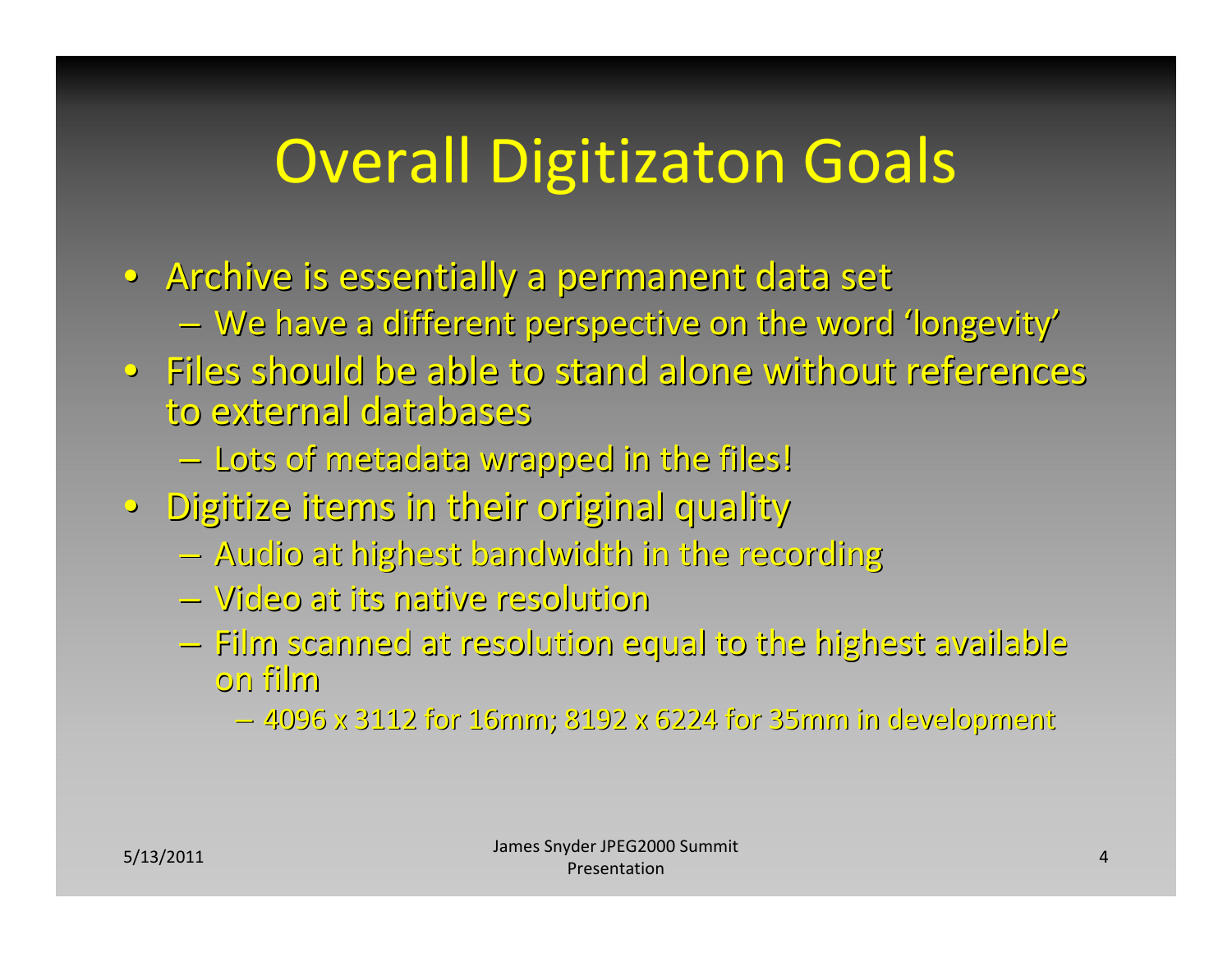# Overall Digitizaton Goals

- Archive is essentially a permanent data set  $-$  We have a different perspective on the word 'longevity'  $\,$
- $\bullet$  Files should be able to stand alone without references to external external databases databases
	- $-$  Lots of metadata wrapped in the files!  $\,$
- Digitize items in their original quality
	- $-$  Audio at highest bandwidth in the recording
	- –Video at its native resolution resolution
	- $-$  Film scanned at resolution equal to the highest available on film
		- $-$  4096 x 3112 for 16mm; 8192 x 6224 for 35mm in development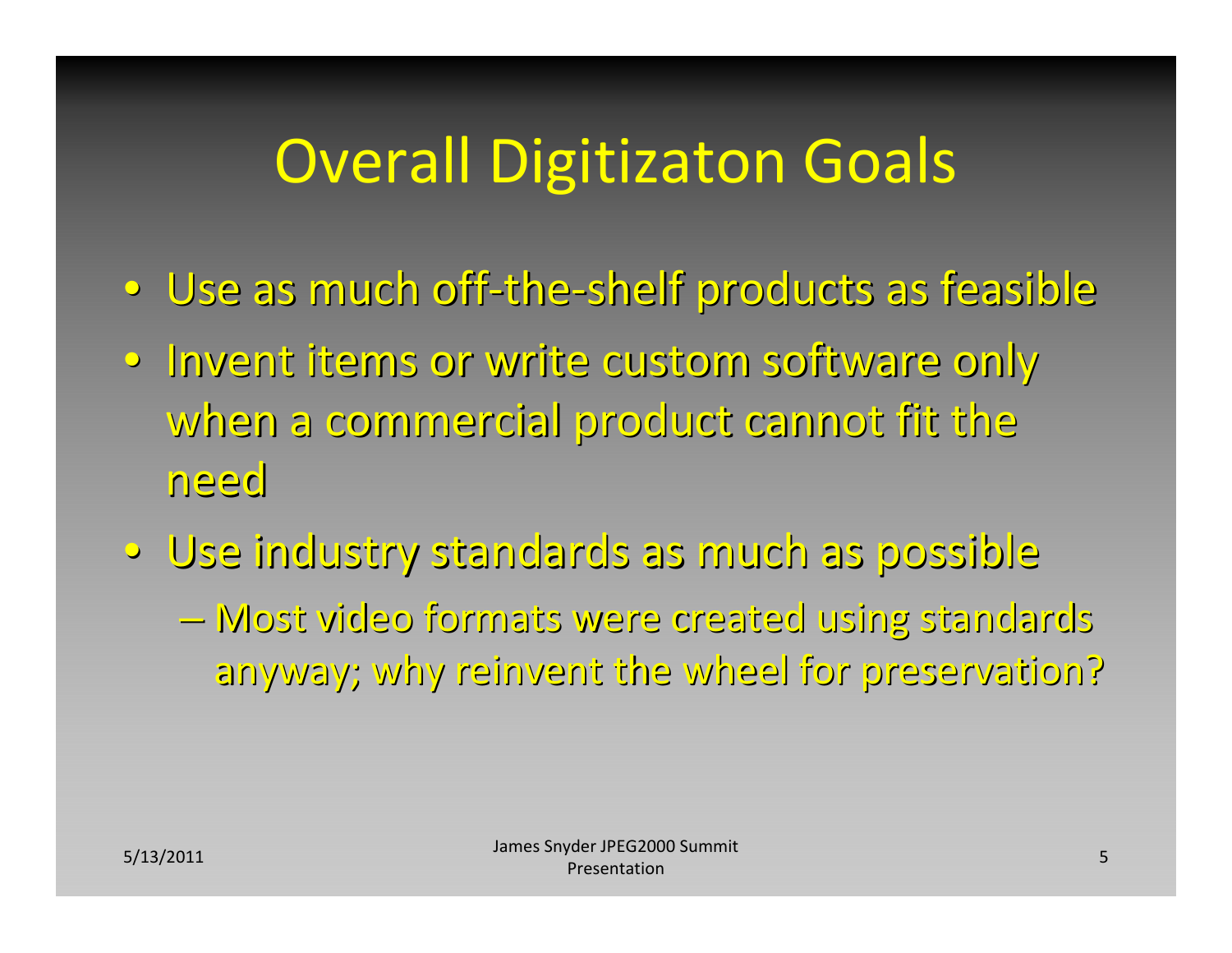# Overall Digitizaton Goals

- Use as much off-the-shelf products as feasible
- Invent items or write custom software only when a commercial product cannot fit the  $\,$ need
- $\circ$  Use industry standards as much as possible –Most video formats formats were created created using standards standards anyway; why reinvent the wheel for preservation?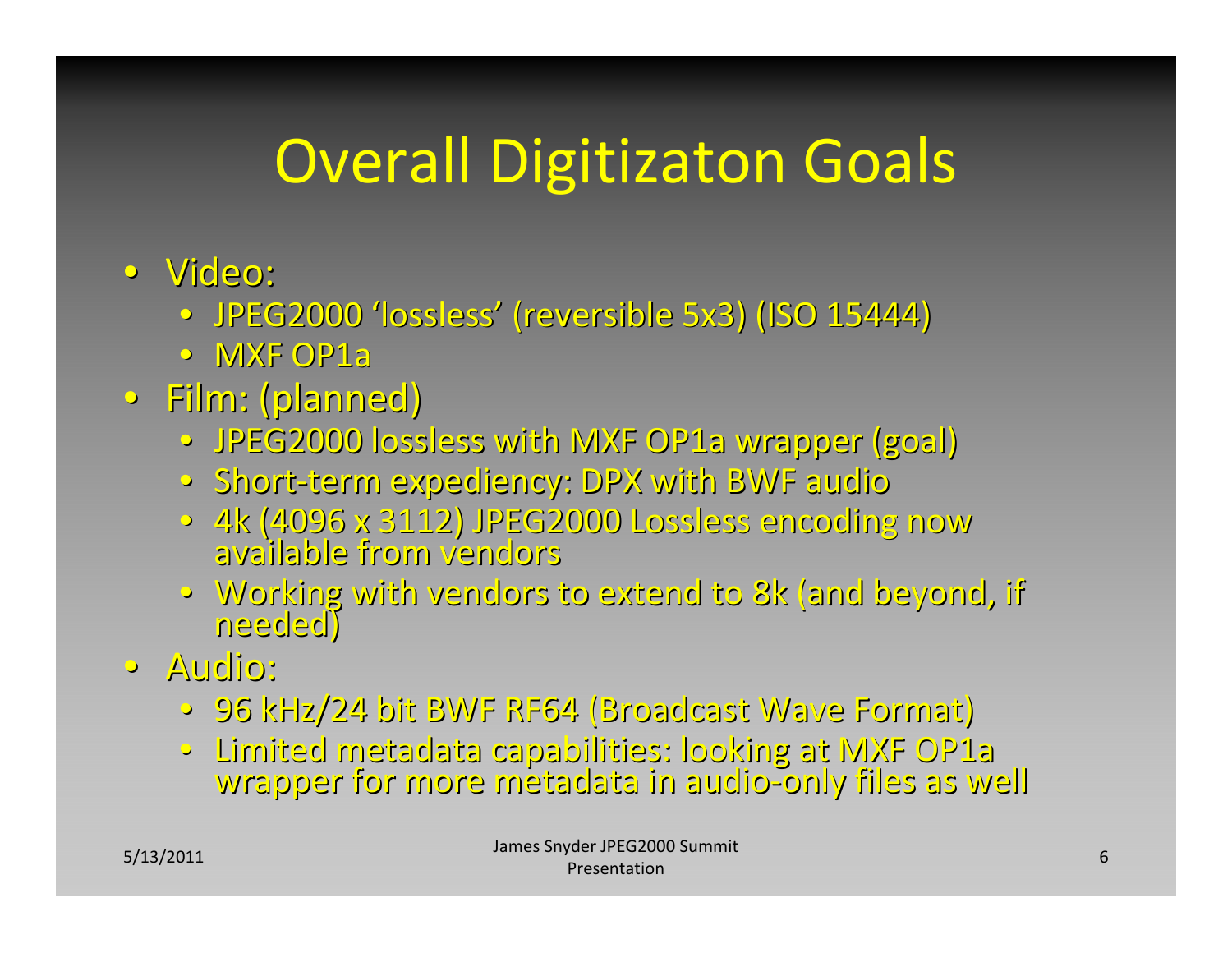# Overall Digitizaton Goals

- Video:
	- JPEG2000 'lossless' (reversible 5x3) (ISO 15444)
	- •MXF OP1a
- Film: (planned)
	- JPEG2000 lossless with MXF OP1a wrapper (goal)
	- $\bullet~$  Short-term expediency: DPX with BWF audio
	- 4k (4096 x 3112) JPEG2000 Lossless encoding now<br>• available from vendors available from vendors vendors
	- Working with vendors to extend to 8k (and beyond, if<br>needed)
- •Audio:
	- •96 kHz/24 bit BWF RF64 (Broadcast (Broadcast Wave Format) Format)
	- •Limited Limited metadata metadata capabilities: capabilities: looking looking at MXF OP1a wrapper for more metadata in audio-only files as well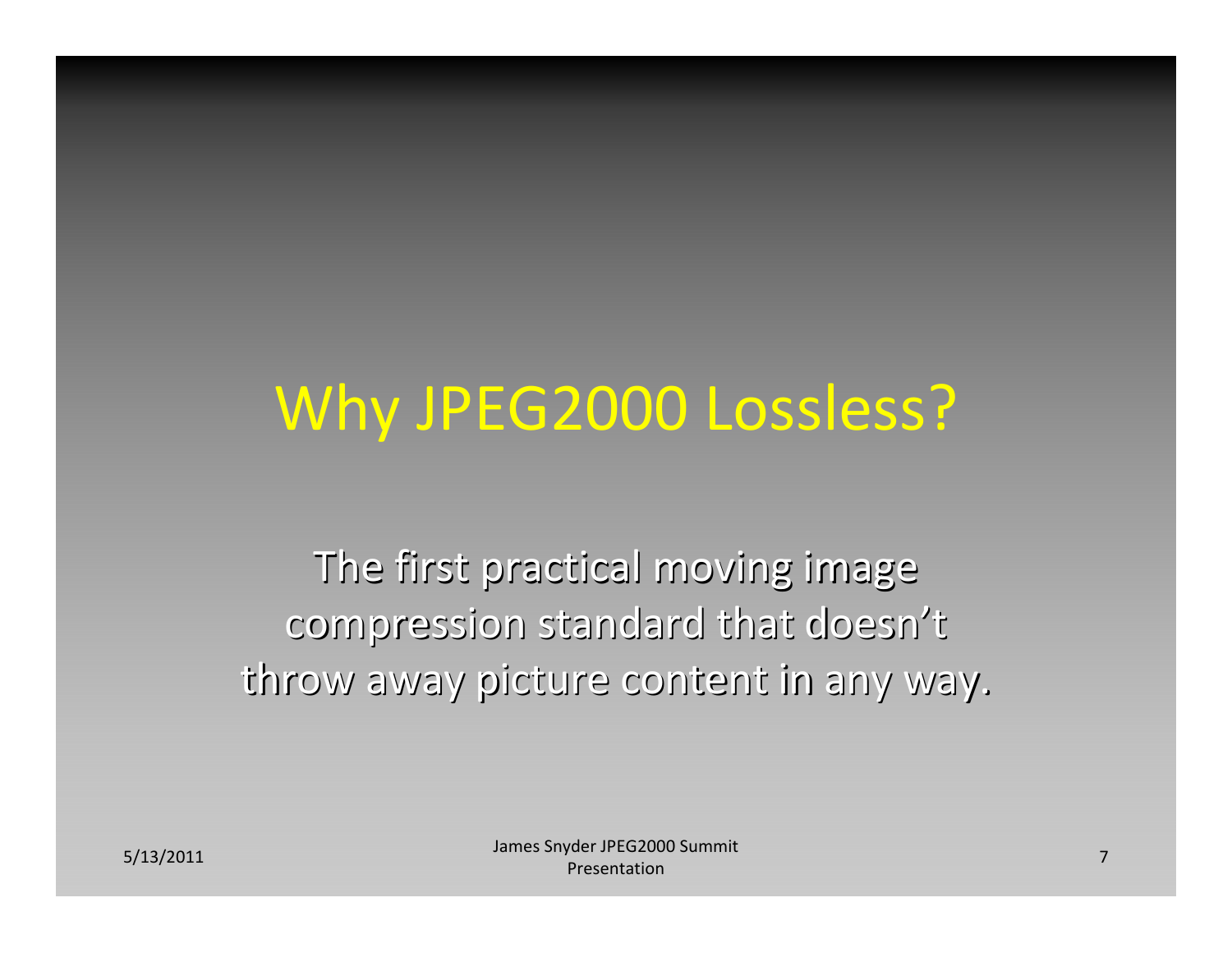## Why JPEG2000 Lossless?

The first practical moving image compression standard that doesn't throw away picture content in any way.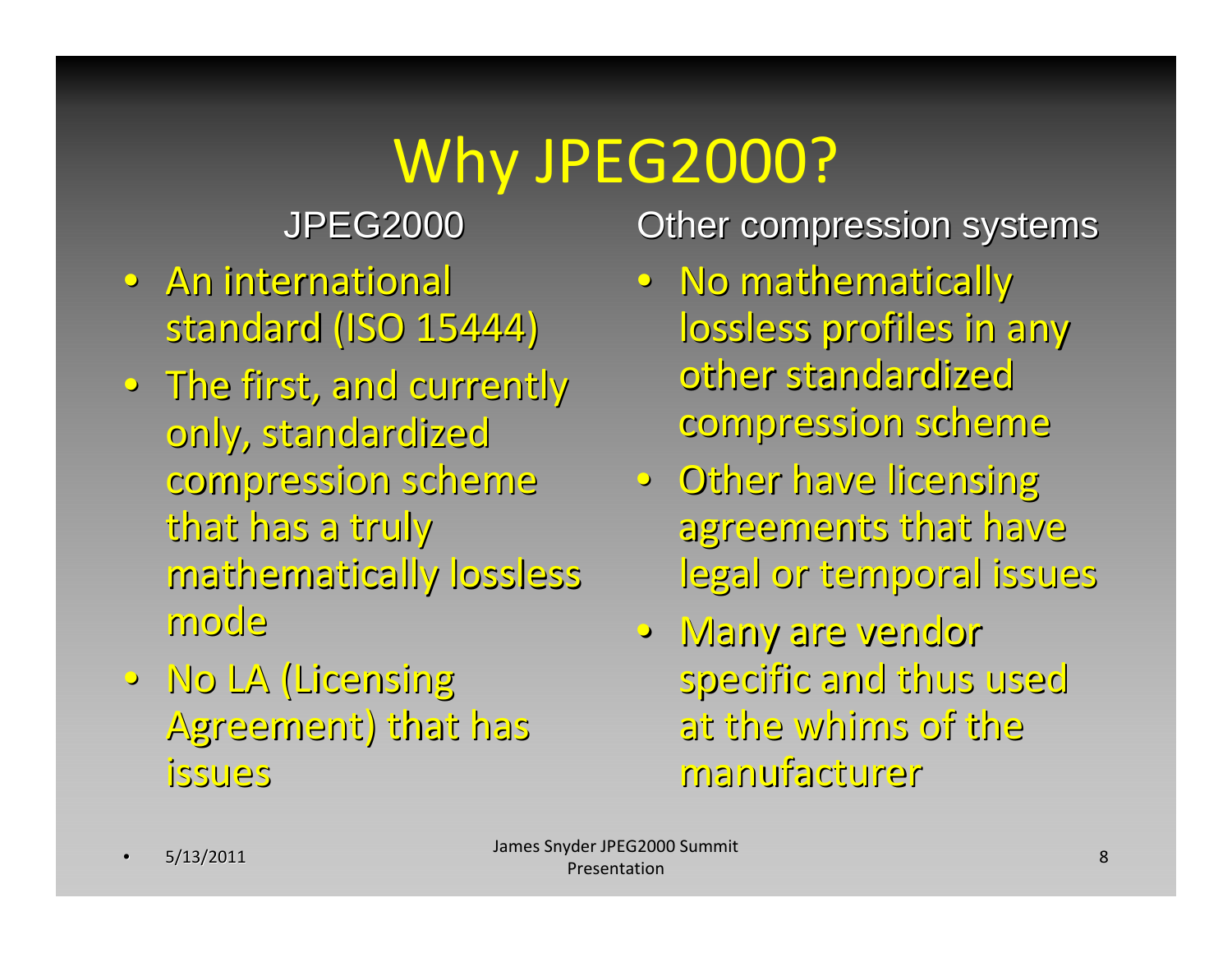#### JPEG2000 JPEG2000

- **An international** standard (ISO 15444)
- $\bullet~$  The first, and currently only, standardized compression compression scheme that has a truly mathematically mathematically lossless lossless mode
- •No LA (Licensing (Licensing Agreement) Agreement) that has issues

- No mathematically lossless profiles in any other standardized compression compression scheme
- Other have licensing agreements that have legal or temporal issues
- •Many are vendor specific specific and thus used at the whims of the manufacturer manufacturer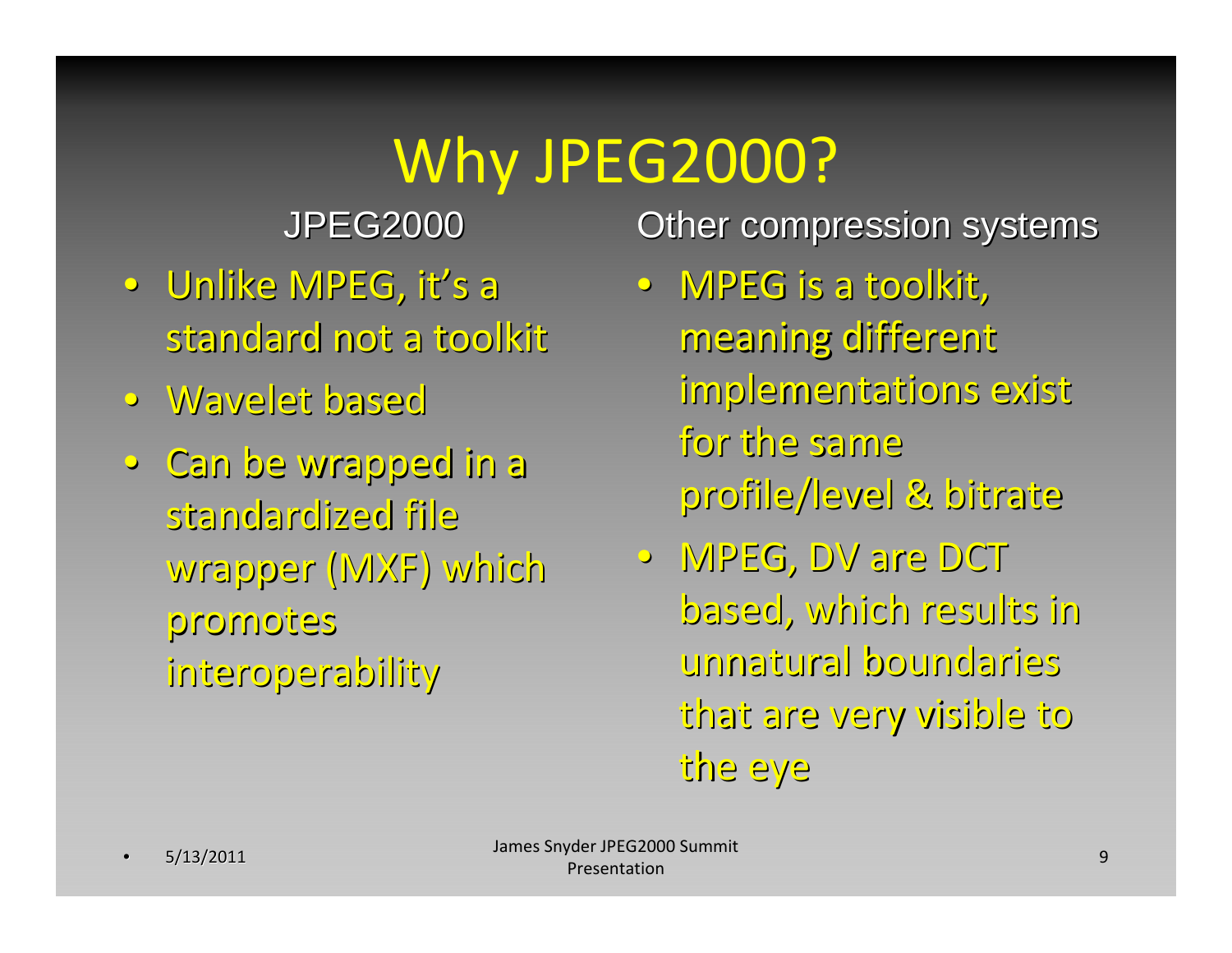JPEG2000 JPEG2000

- •Unlike MPEG, it's <sup>a</sup> standard not a toolkit
- •Wavelet Wavelet based
- •Can be wrapped wrapped in <sup>a</sup> standardized standardized file wrapper wrapper (MXF) which promotes promotes interoperability interoperability

- MPEG is a toolkit, meaning different implementations exist for the same profile/level & bitrate
- •MPEG, DV are DCT based, which results in unnatural unnatural boundaries boundaries that are very visible visible to the eye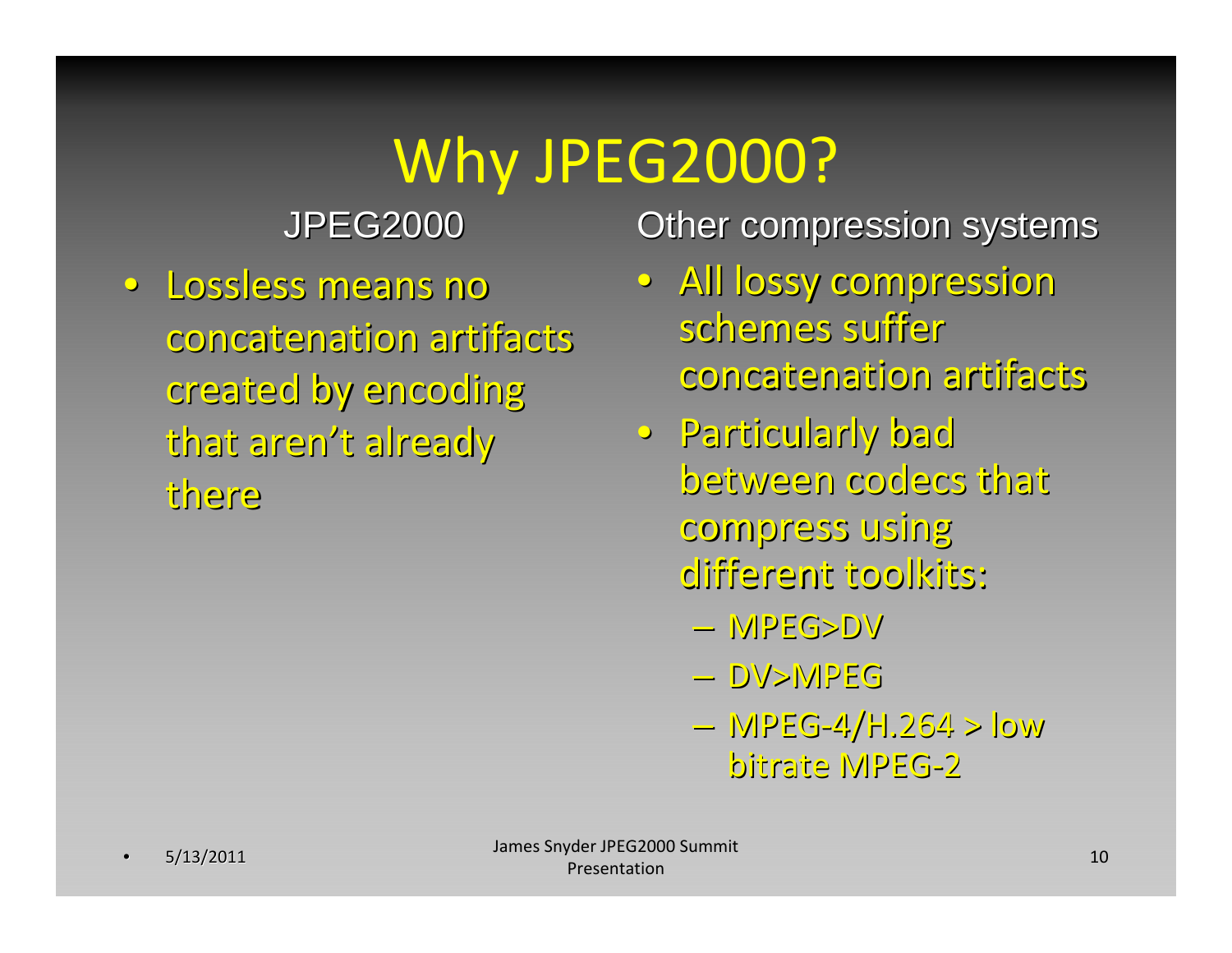JPEG2000 JPEG2000

• Lossless means no concatenation concatenation artifacts artifacts created by encoding that aren't already there

- All lossy compression schemes suffer concatenation concatenation artifacts artifacts
- · Particularly bad between between codecs that compress compress using different toolkits:
	- –MPEG>DV MPEG>DV
	- –DV>MPEG DV>MPEG
	- MPEG-4/H.264 > low bitrate MPEG-2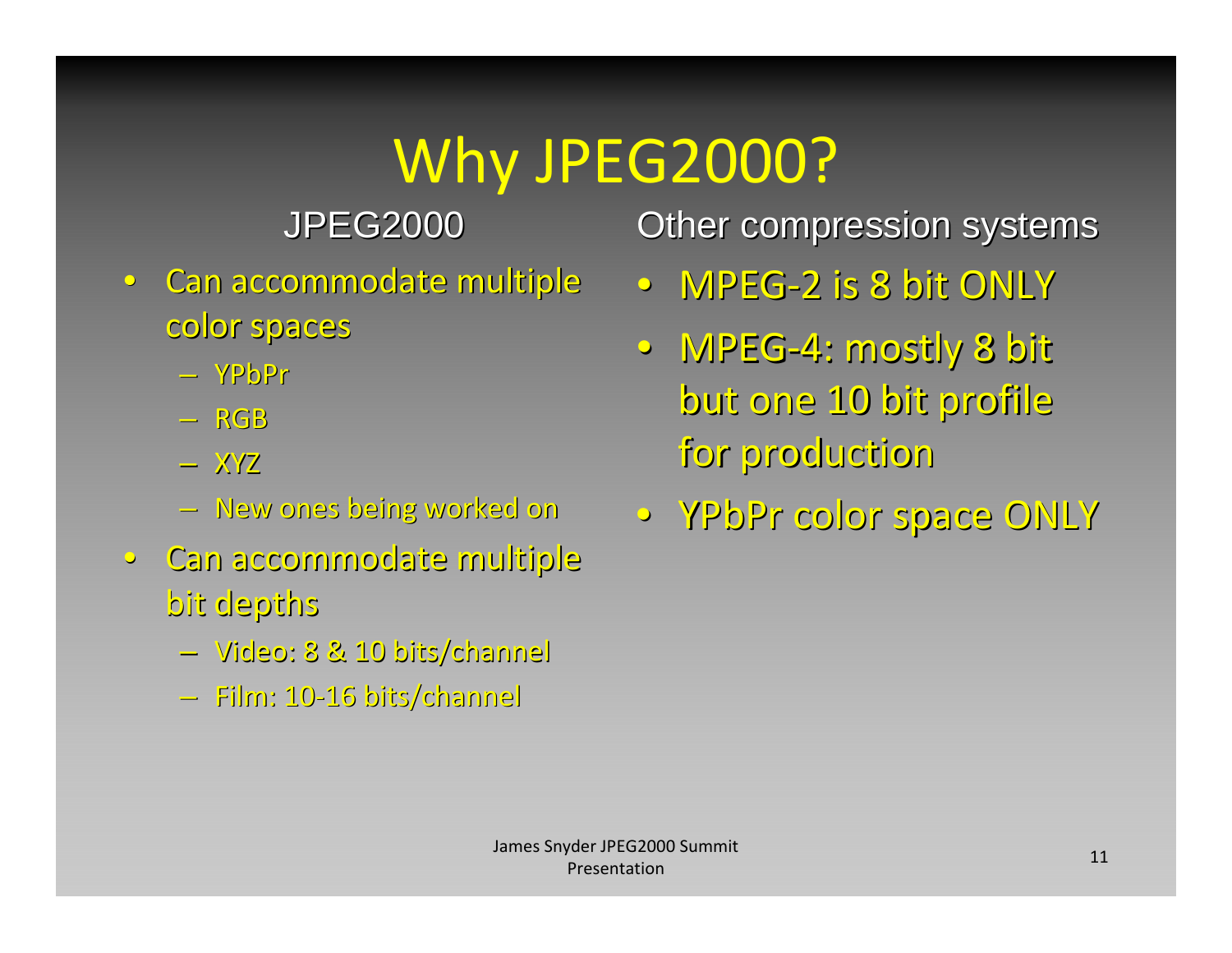JPEG2000 JPEG2000

- Can accommodate multiple color spaces
	- –YPbPr
	- –RGB
	- $-$  XYZ
	- –New ones being worked on
- •Can accommodate accommodate multiple multiple bit depths
	- –Video: 8 & 10 bits/channel bits/channel
	- –Film: 10‐16 bits/channel bits/channel

- •MPEG‐2 is 8 bit ONLY
- MPEG-4: mostly 8 bit but one 10 bit profile for production production
- •YPbPr color space ONLY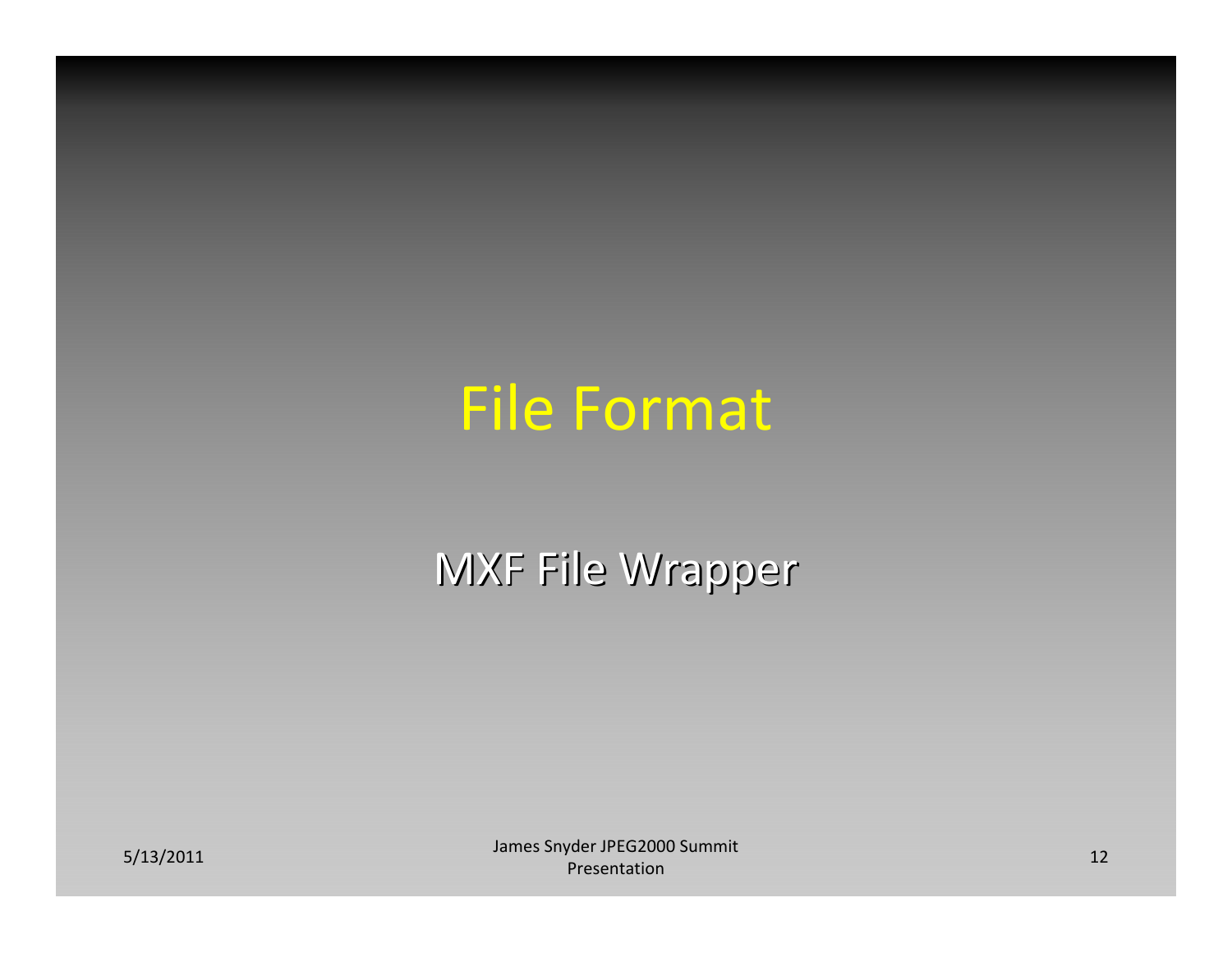#### File Format

#### MXF File Wrapper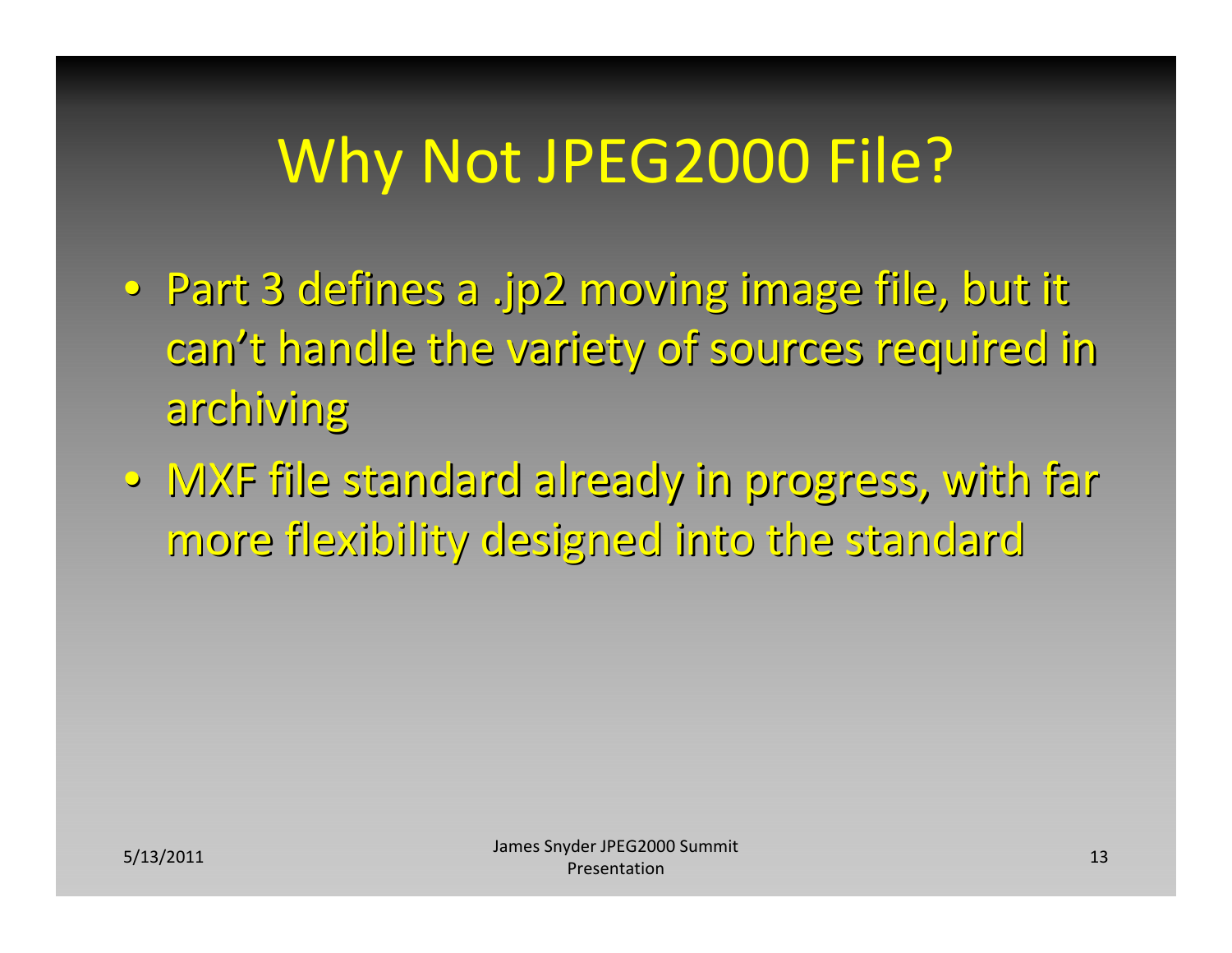# Why Not JPEG2000 File?

- Part 3 defines a .jp2 moving image file, but it can't handle the variety of sources required in archiving archiving
- MXF file standard already in progress, with far more flexibility designed into the standard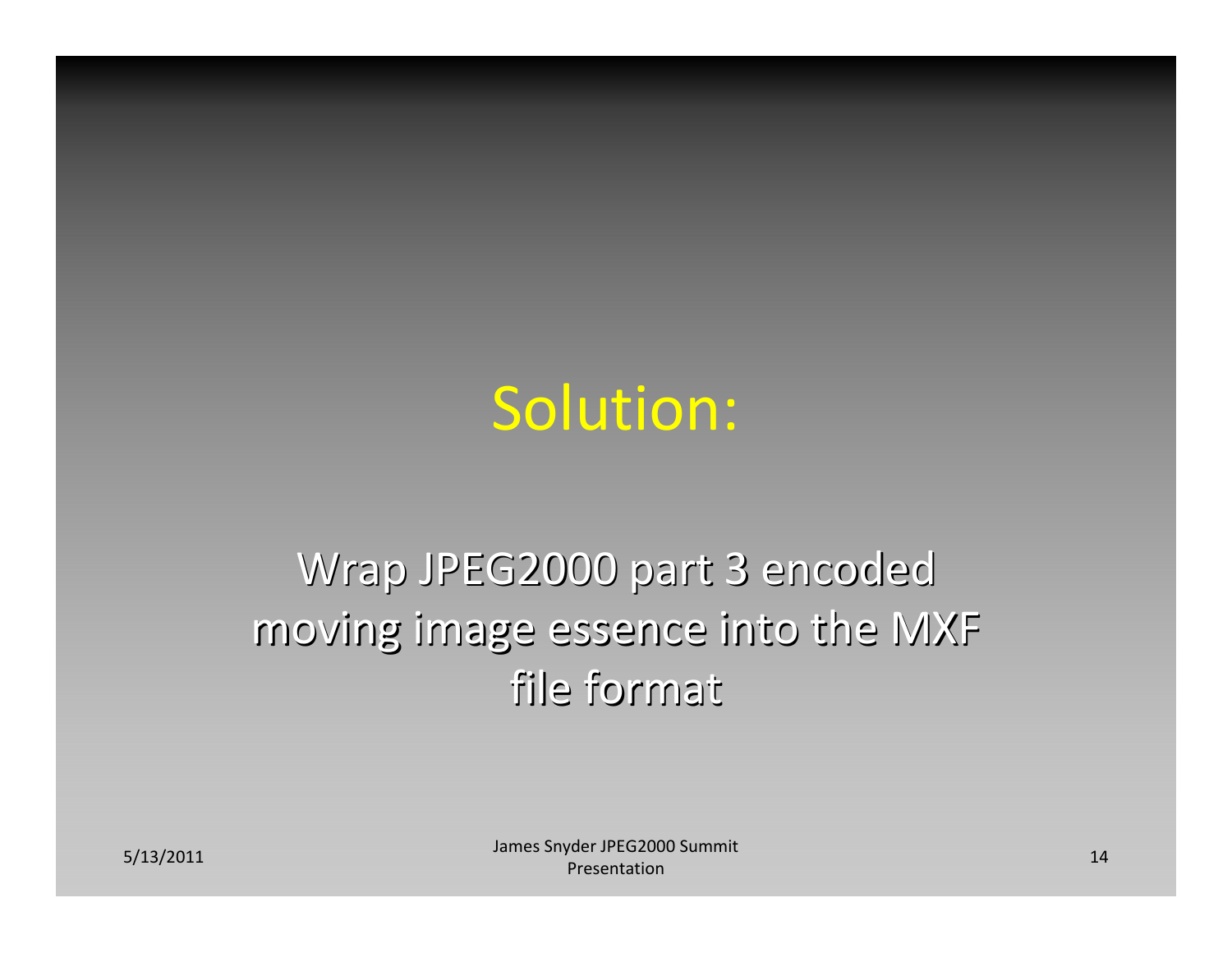#### Solution:

#### Wrap JPEG2000 part 3 encoded moving image essence into the MXF file format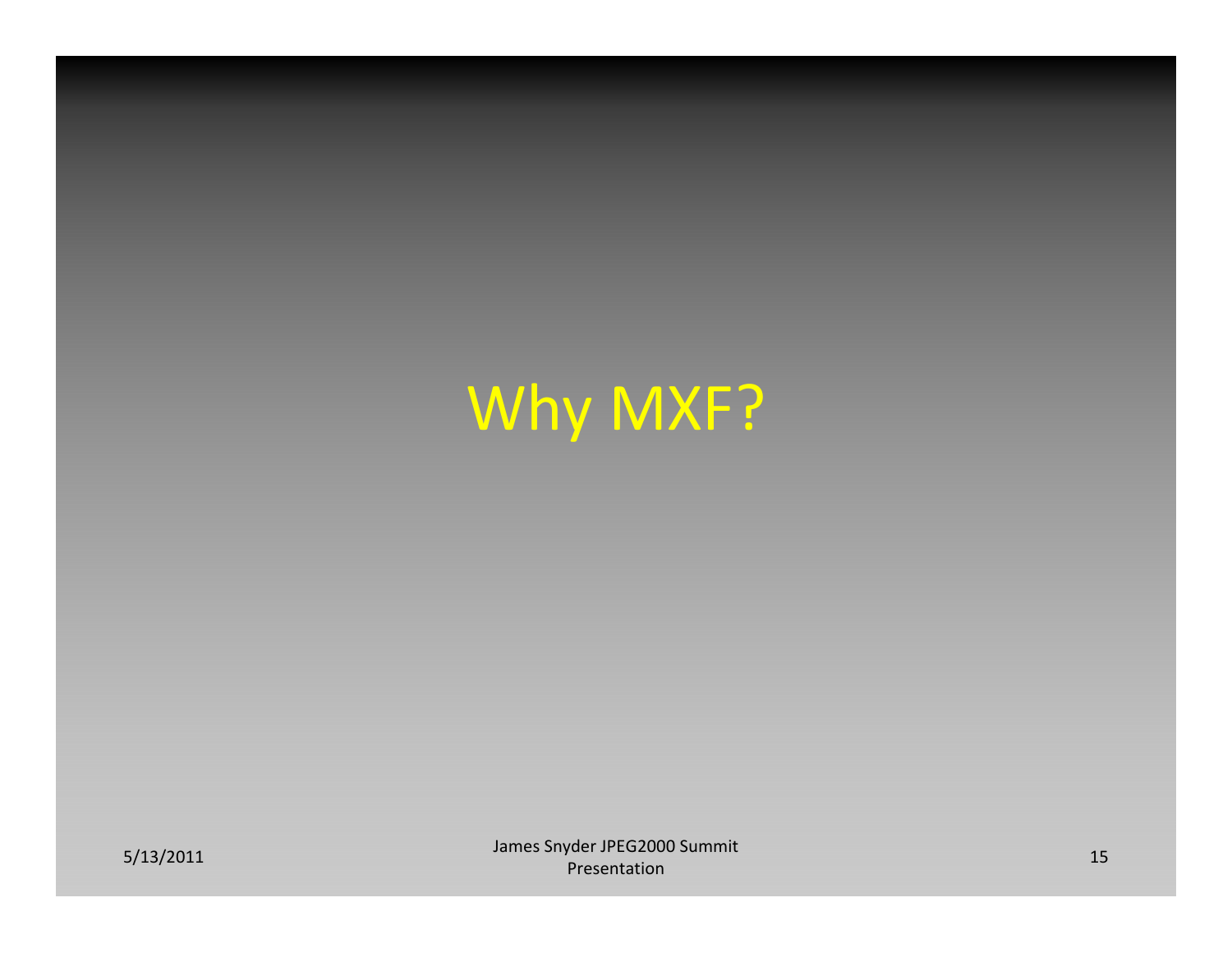# Why MXF?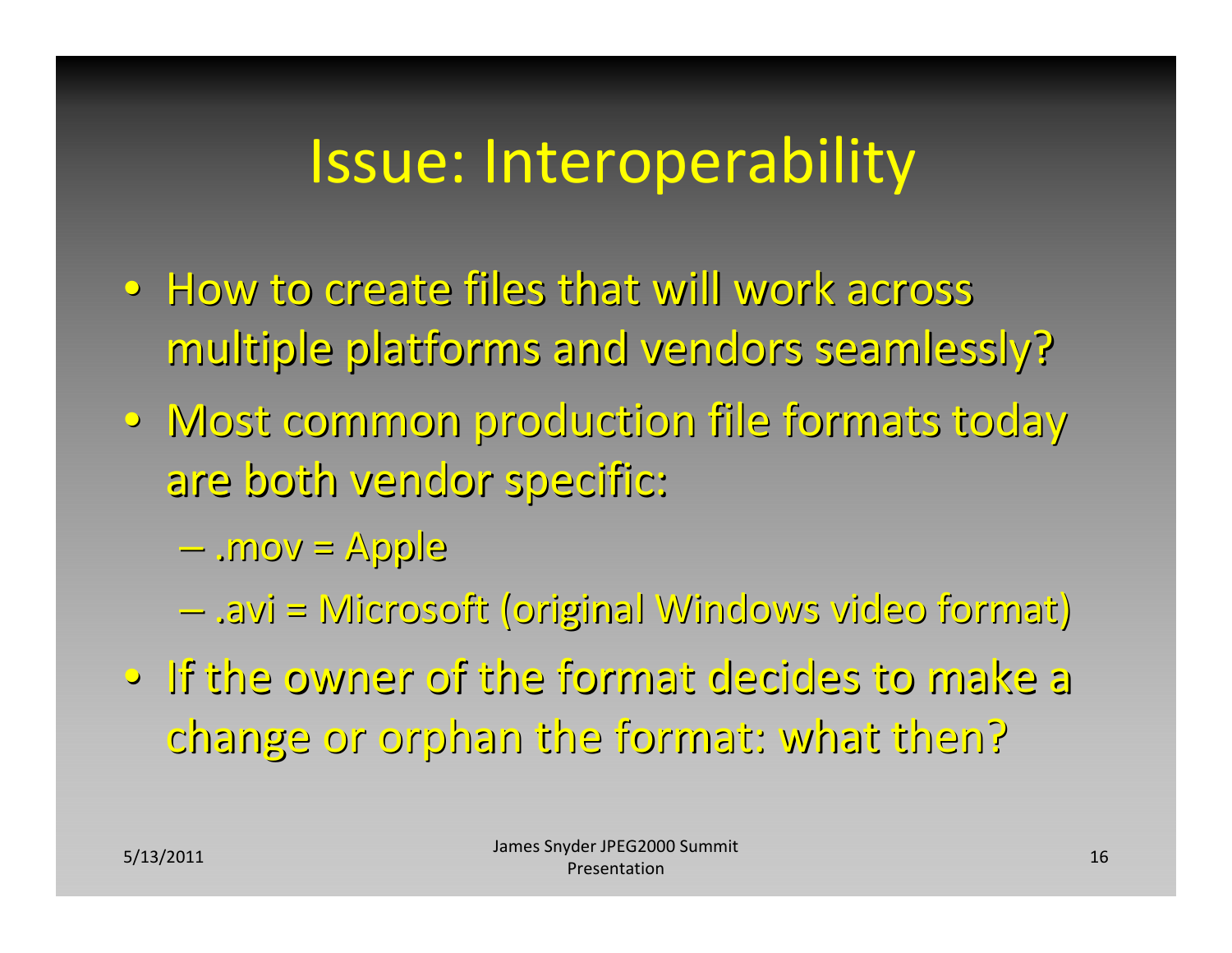### Issue: Interoperability

- How to create files that will work across multiple platforms and vendors seamlessly?
- Most common production file formats today are both vendor specific: specific:
	- –.mov <sup>=</sup> Apple
	- –.avi <sup>=</sup> Microsoft Microsoft (original (original Windows Windows video format) format)
- •If the owner of the format decides decidesto make <sup>a</sup> change or orphan the format: what then?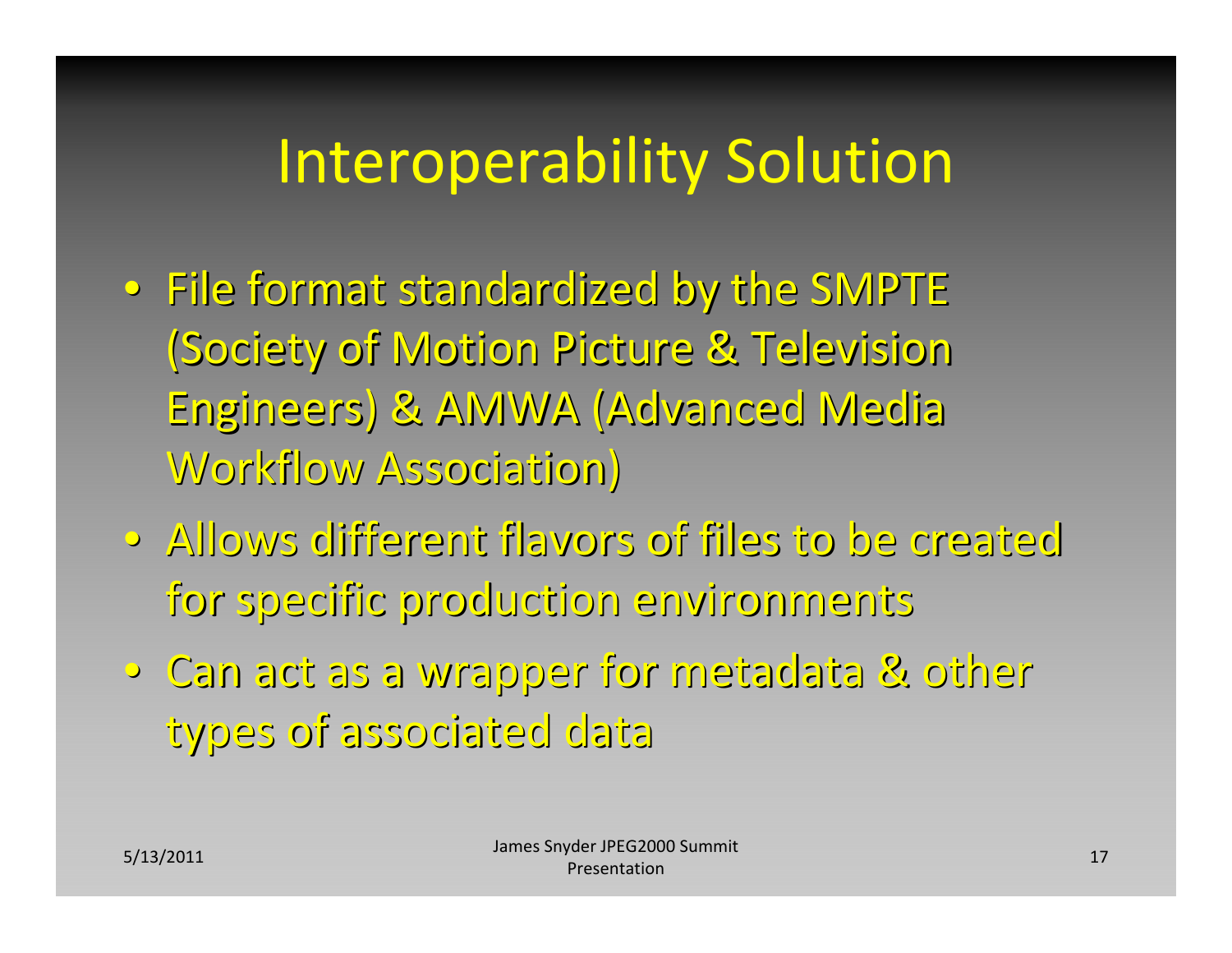## Interoperability Solution

- $\bullet\,$  File format standardized by the SMPTE (Society of Motion Picture & Television Engineers) Engineers) & AMWA (Advanced (Advanced Media Workflow Association)
- Allows different flavors of files to be created for specific specific production production environments environments
- Can act as a wrapper wrapper for metadata metadata & other types of associated data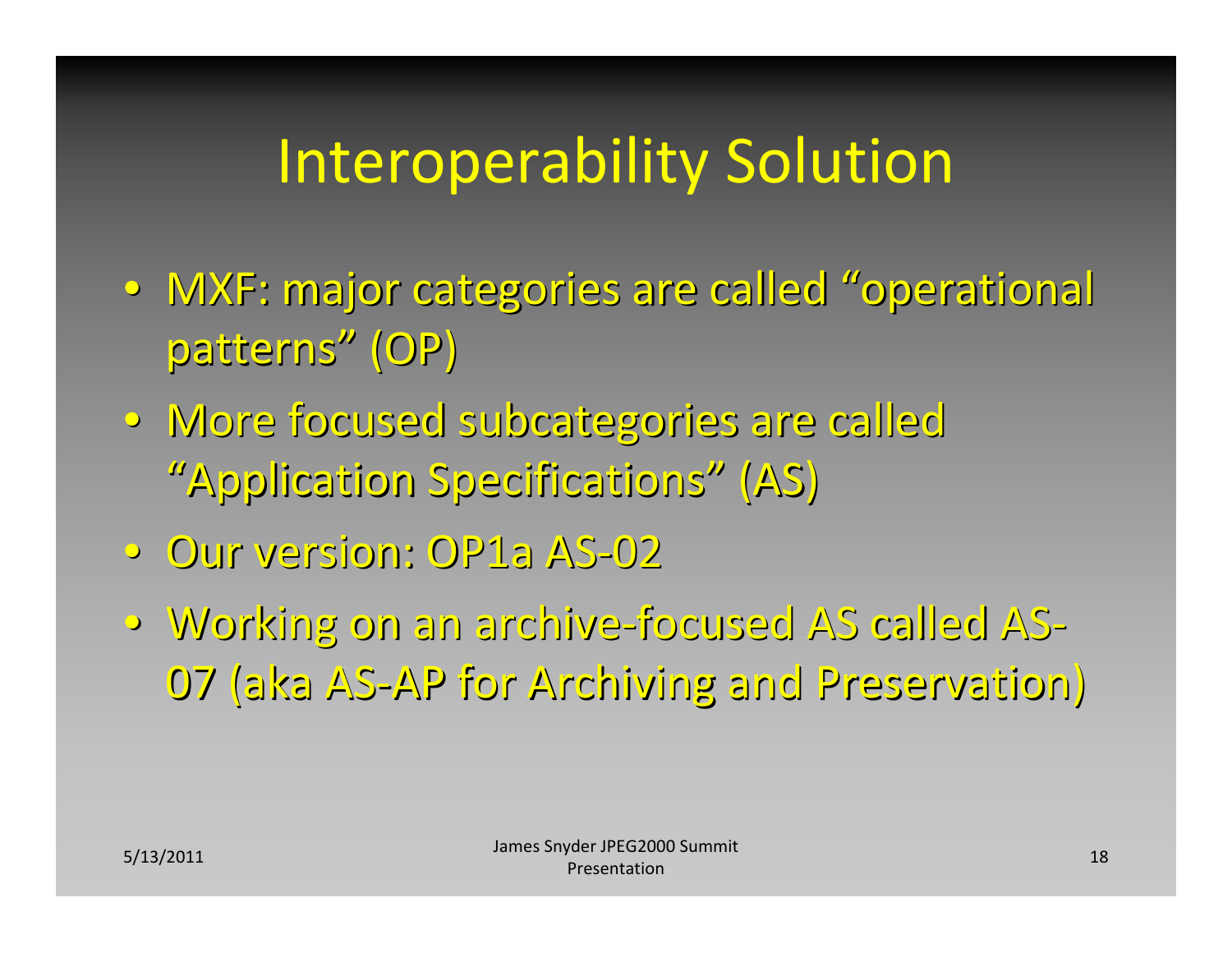# Interoperability Solution

- MXF: major categories are called "operational patterns" (OP)
- More focused subcategories are called "Application Specifications" (AS)
- Our version: version: OP1a AS ‐02
- Working Working on an archive archive ‐focused focused AS called AS ‐07 (aka AS ‐AP for Archiving Archiving and Preservation) Preservation)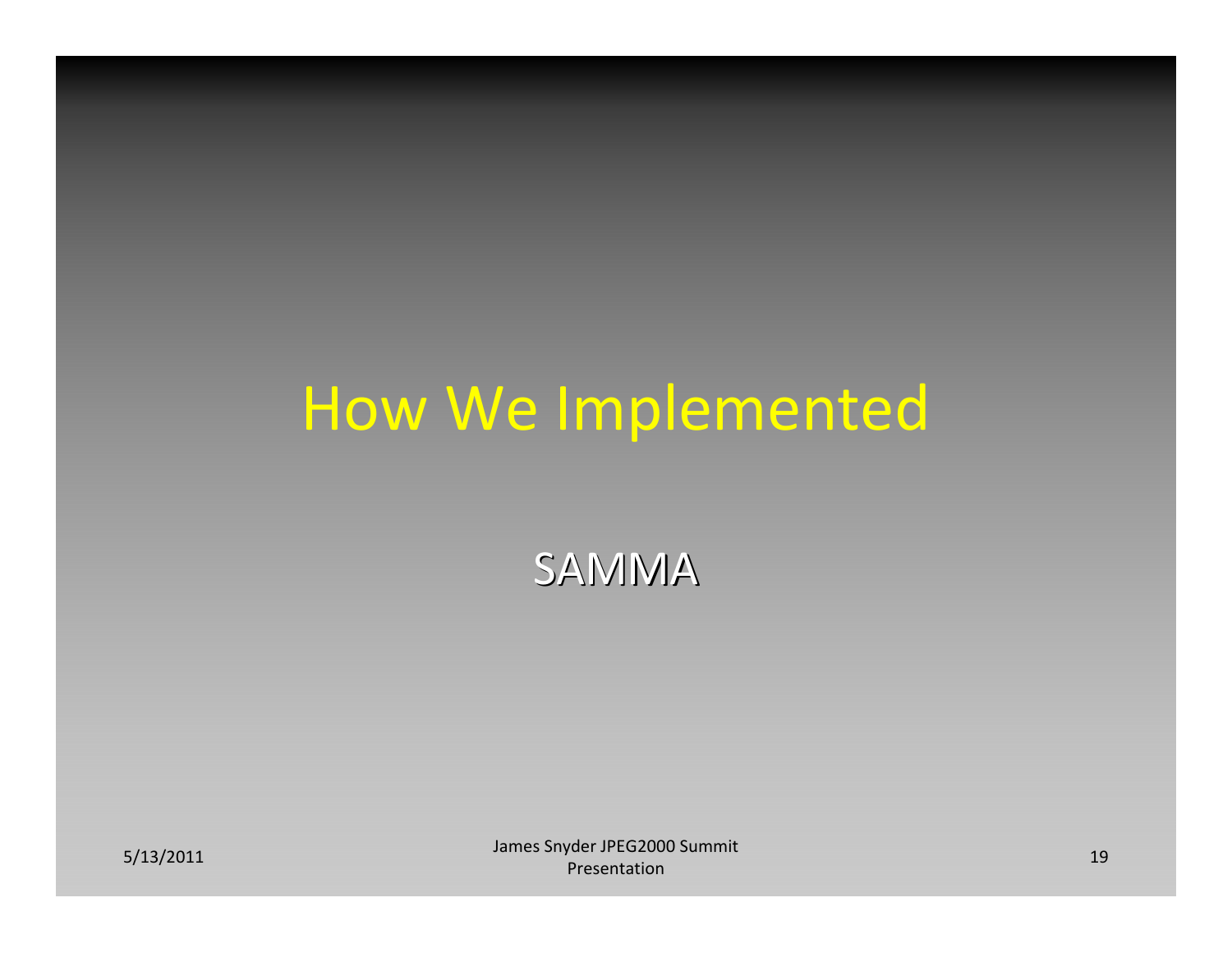#### How We Implemented

SAMMA

S/13/2011 **19** James Snyder JPEG2000 Summit **19 James Snyder 1986** Summit 19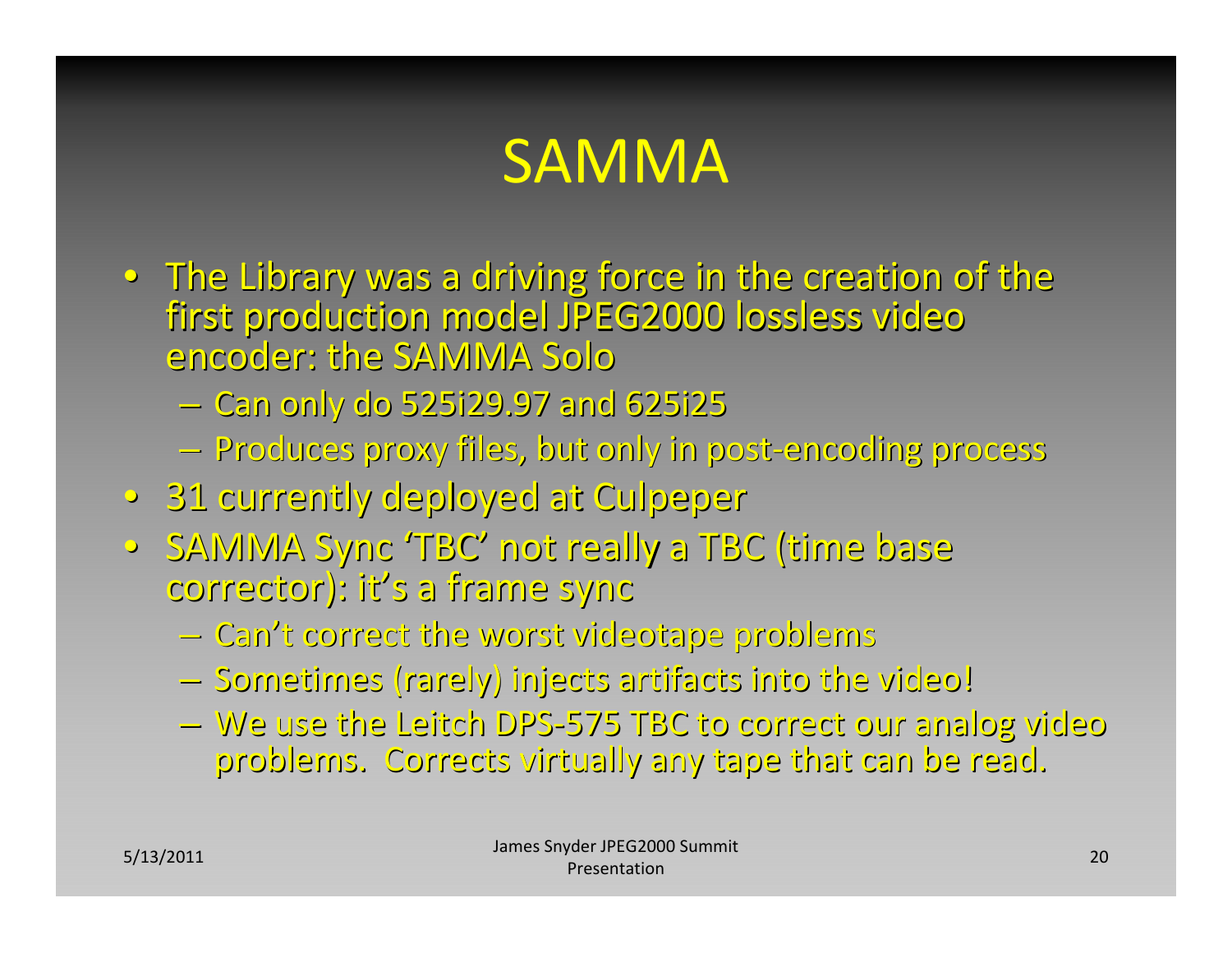# SAMMA

- $\bullet~$  The Library was a driving force in the creation of the first production model JPEG2000 lossless video encoder: encoder: the SAMMA Solo
	- –Can only do 525i29.97 525i29.97 and 625i25
	- –Produces Produces proxy files, but only in post‐encoding encoding process process
- 31 currently deployed at Culpeper
- •SAMMA Sync 'TBC' not really <sup>a</sup> TBC (time base corrector): corrector): it's <sup>a</sup> frame sync
	- –Can't correct correct the worst videotape videotape problems problems
	- Sometimes (rarely) injects artifacts into the video!
	- –We use the Leitch DPS‐575 TBC to correct correct our analog video problems. Corrects virtually any tape that can be read.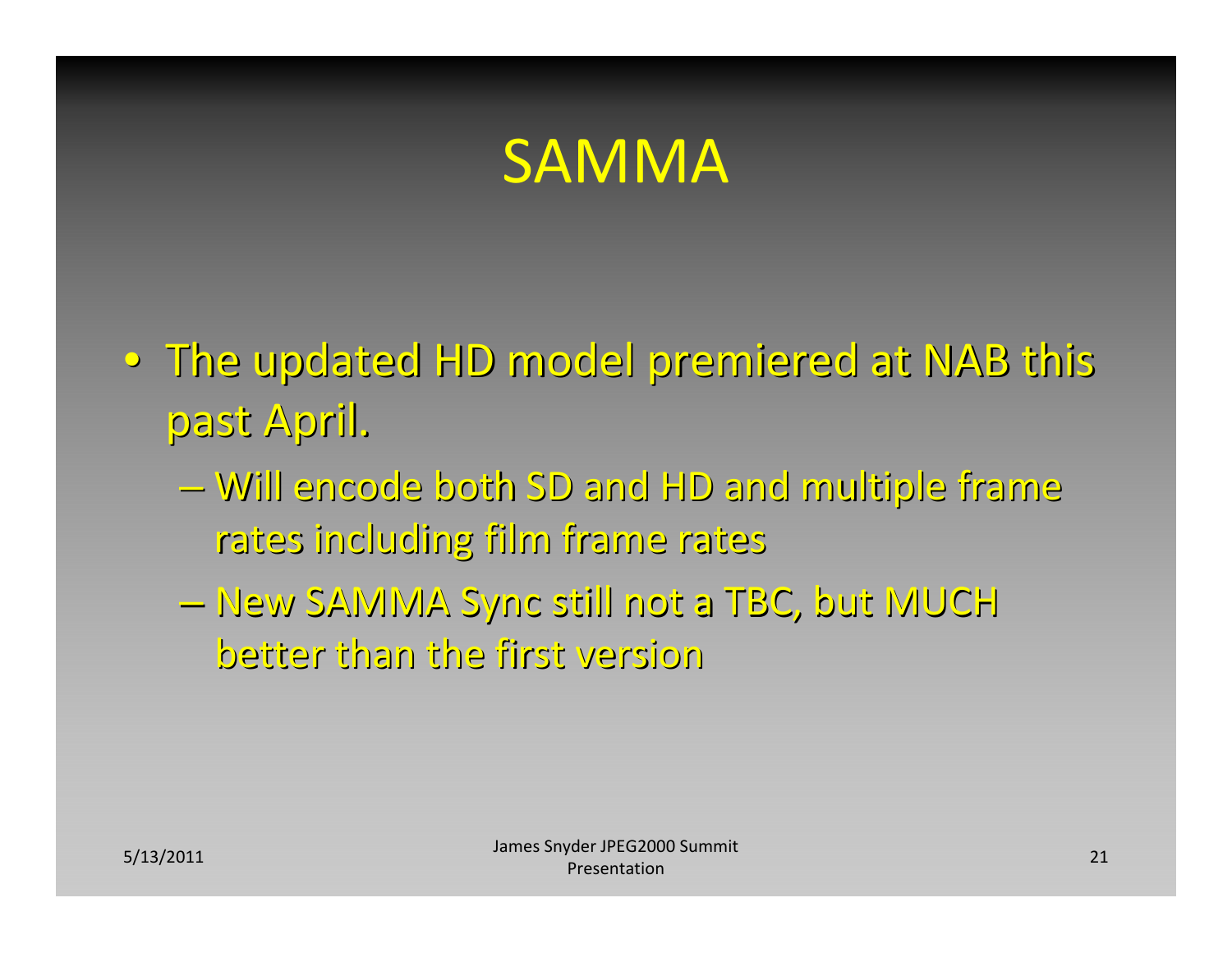#### SAMMA

- $\circ$  The updated HD model premiered at NAB this past April.
	- –Will encode both SD and HD and multiple multiple frame rates including including film frame rates
	- –New SAMMA Sync still not <sup>a</sup> TBC, but MUCH better than the first version version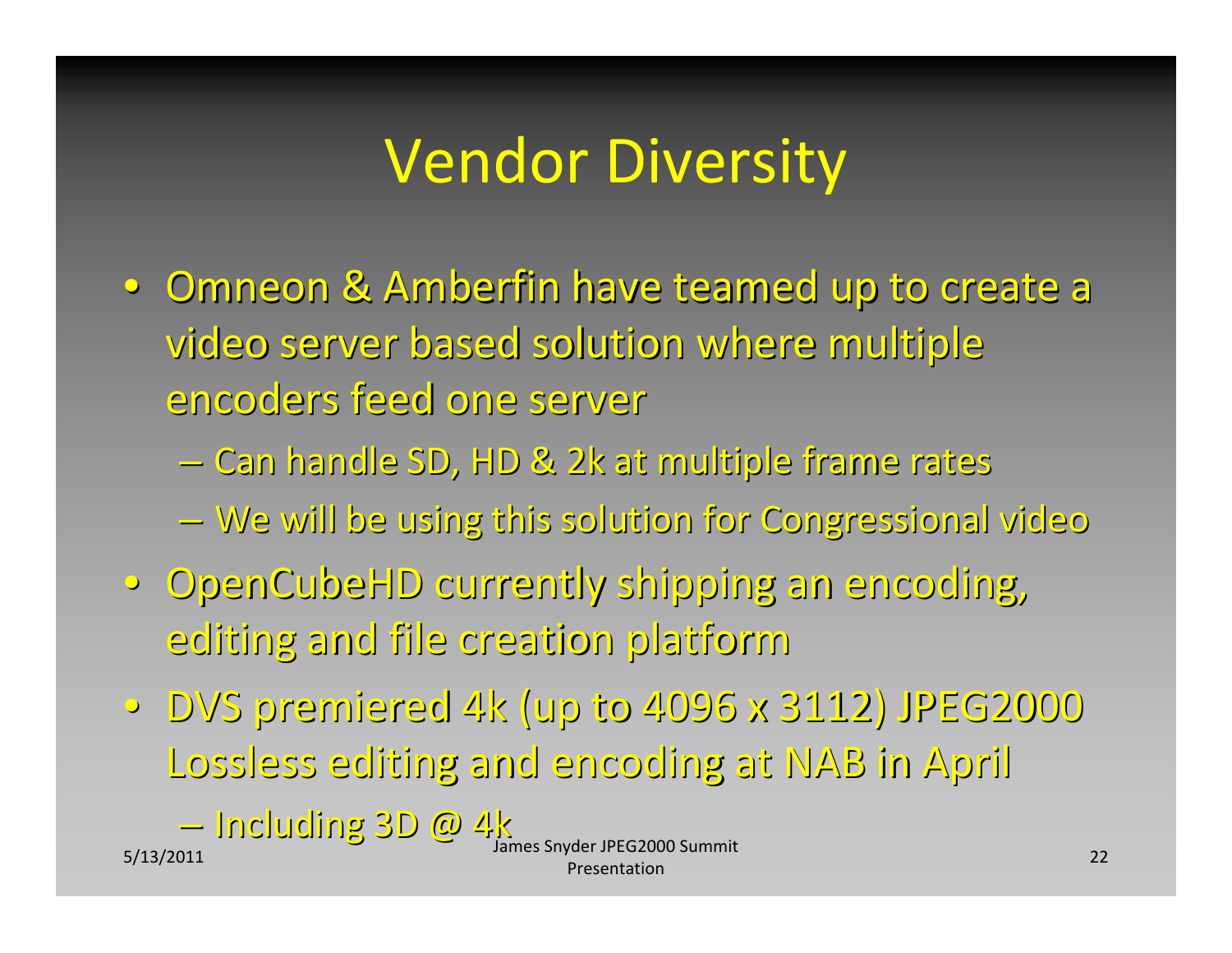# Vendor Diversity

• Omneon & Amberfin have teamed up to create a video server based solution where multiple encoders feed one server

– Can handle SD, HD & 2k at multiple frame rates

 $-$  We will be using this solution for Congressional video

- · OpenCubeHD currently shipping an encoding, editing editing and file creation creation platform platform
- DVS premiered 4k (up to 4096 x 3112) JPEG2000 Lossless Lossless editing editing and encoding encoding at NAB in April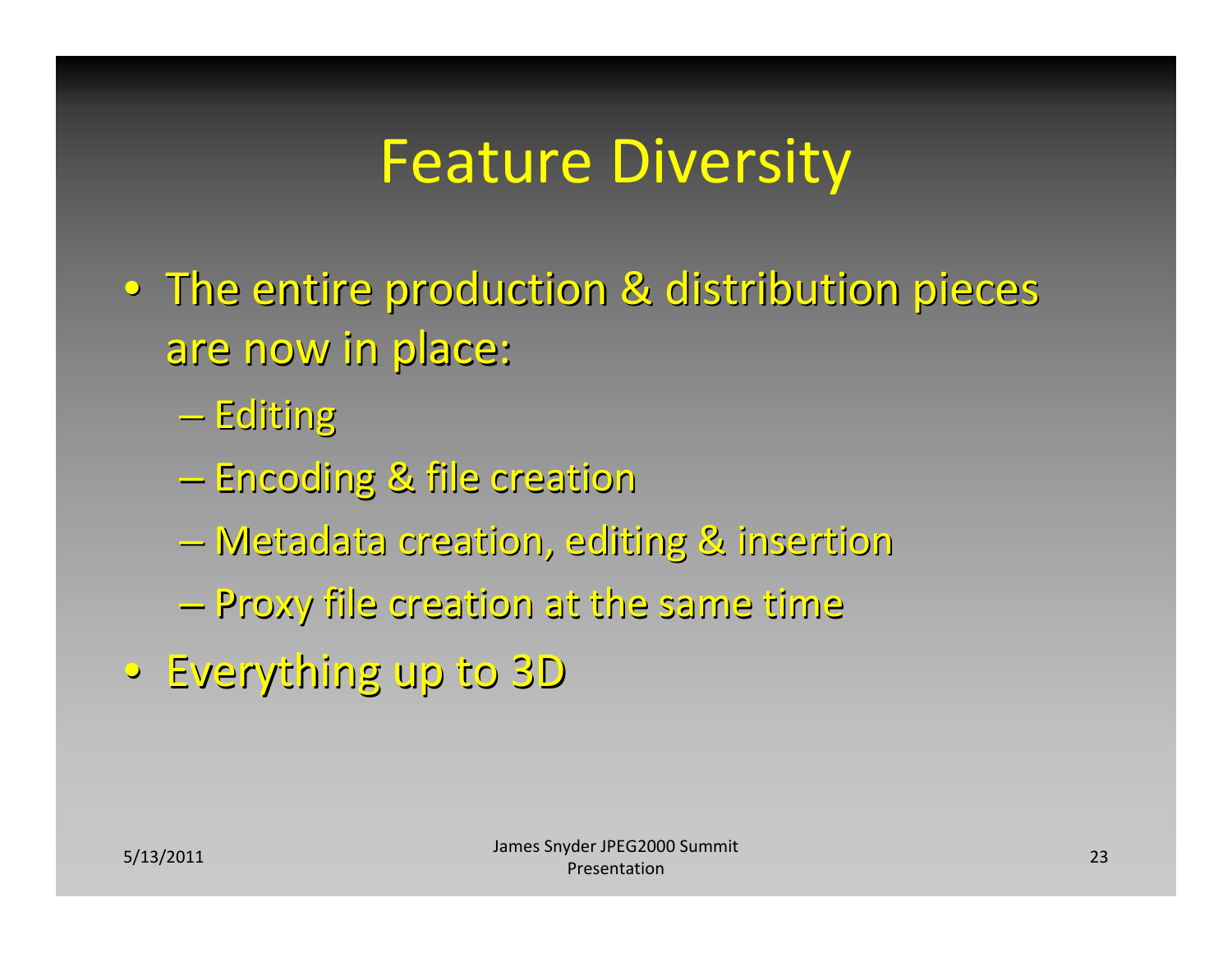### Feature Diversity

- $\bullet\,$  The entire production & distribution pieces are now in place:
	- $-$  Editing
	- –Encoding Encoding & file creation creation
	- –Metadata Metadata creation, creation, editing editing & insertion insertion
	- –Proxy file creation creation at the same time
- •Everything Everything up to 3D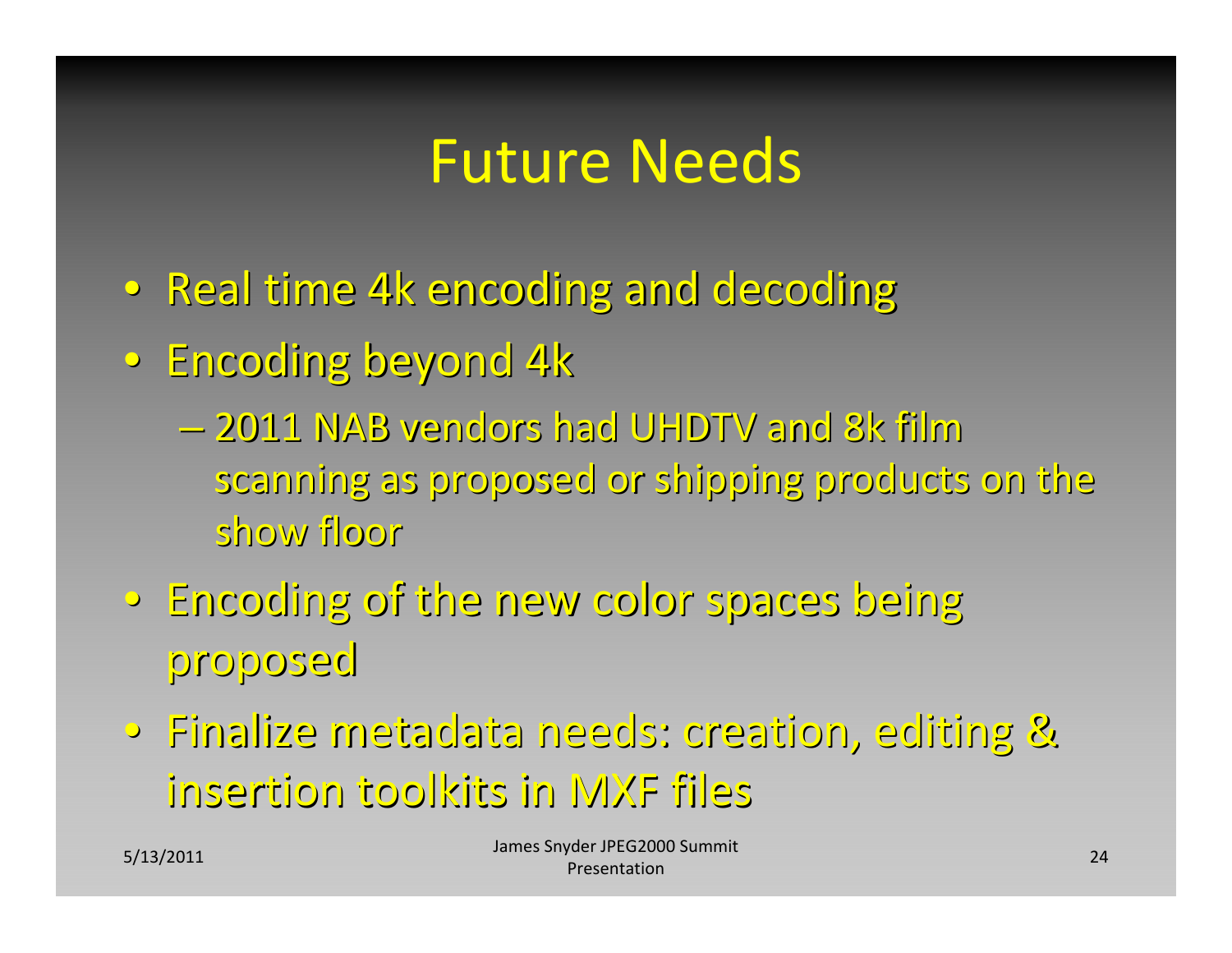### Future Needs

- Real time 4k encoding and decoding
- Encoding beyond 4k
	- –2011 NAB vendors vendors had UHDTV and 8k film scanning as proposed or shipping products on the show floor
- •Encoding Encoding of the new color spaces being proposed
- •Finalize Finalize metadata metadata needs: creation, creation, editing editing & insertion insertion toolkits toolkitsin MXF files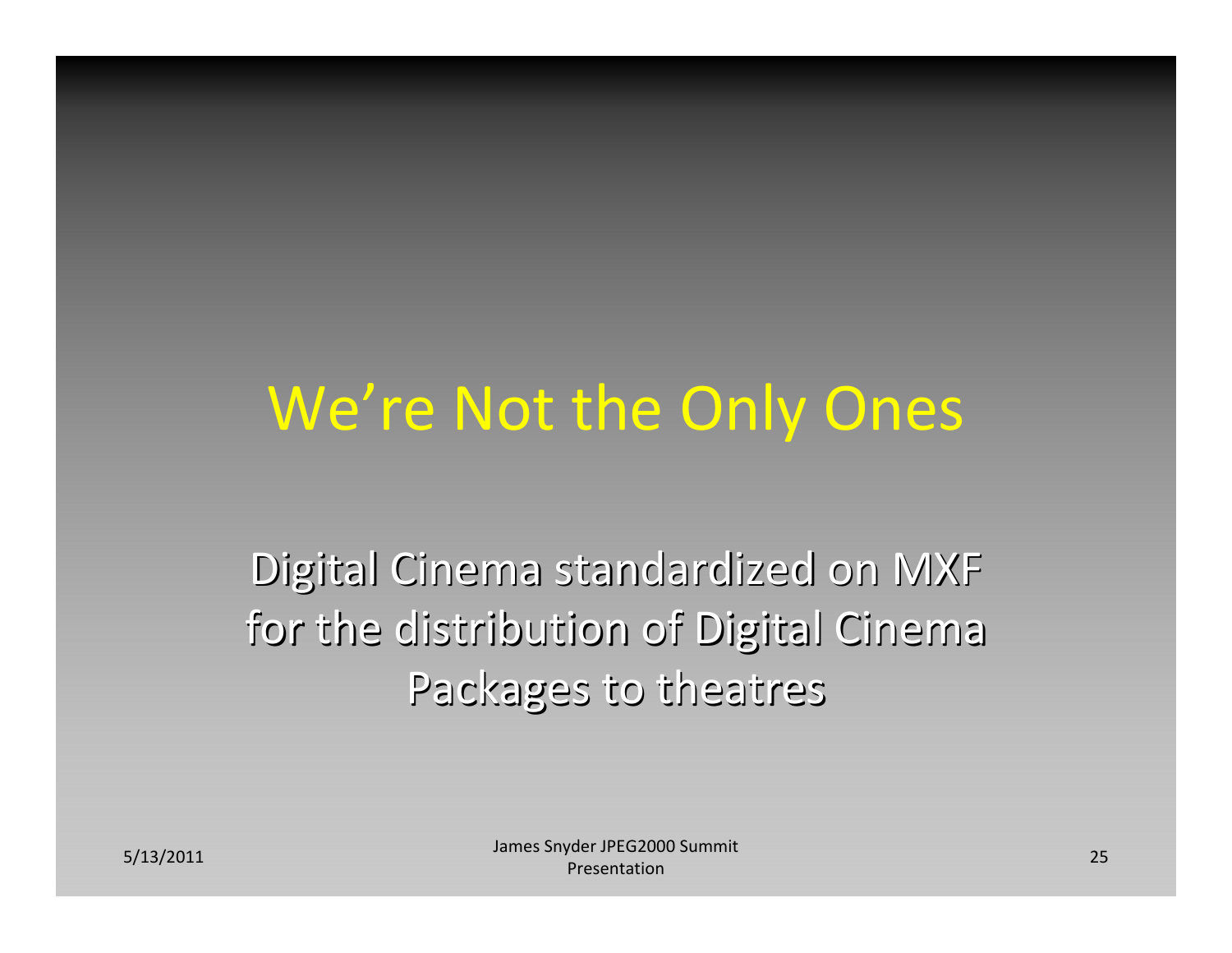### We're Not the Only Ones

Digital Cinema standardized on MXF for the distribution of Digital Cinema Packages to theatres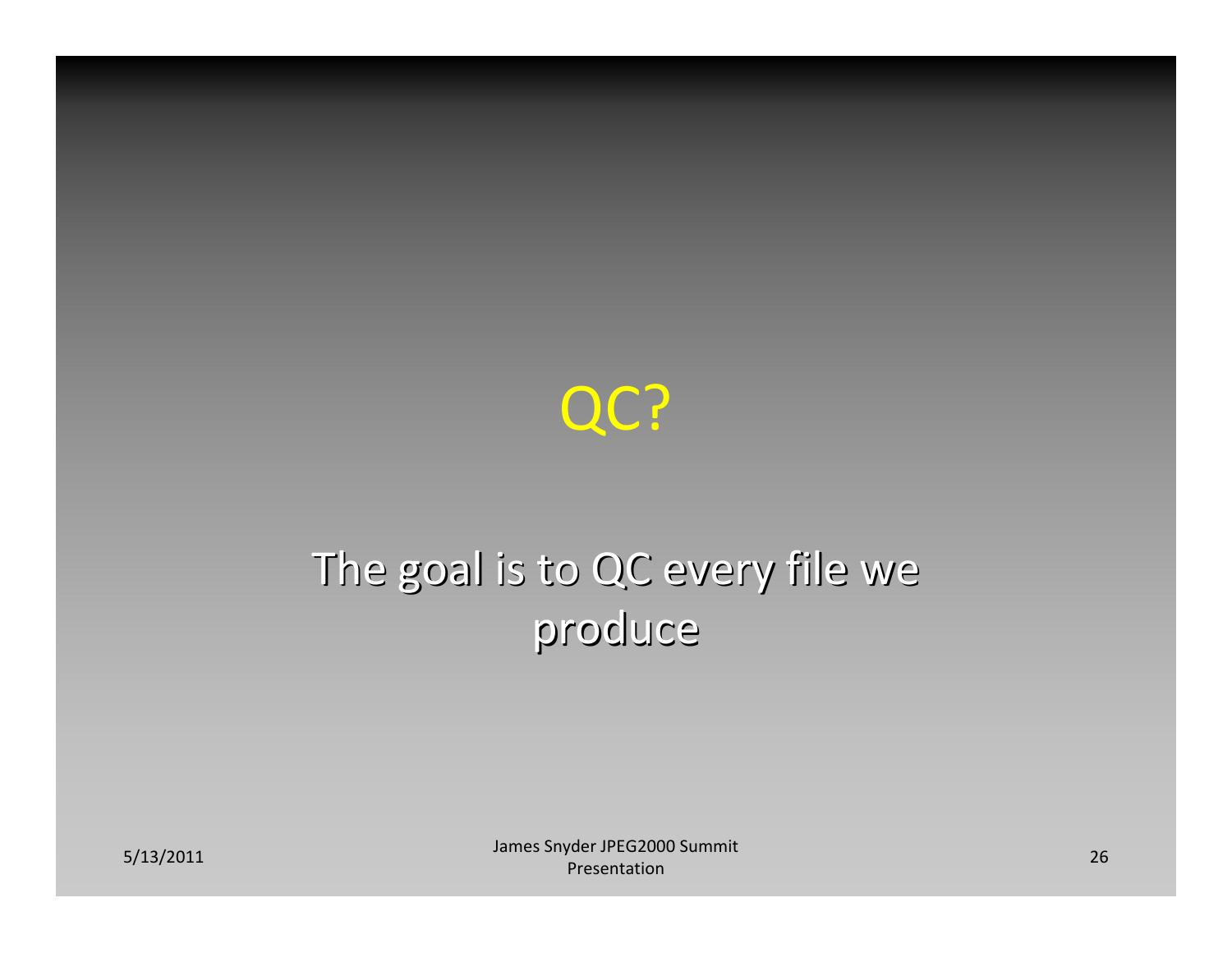

#### The goal is to QC every file we produce

S/13/2011 **26** James Snyder JPEG2000 Summit 26 James Snyder 10 Material process of the USA District Control of the Presentation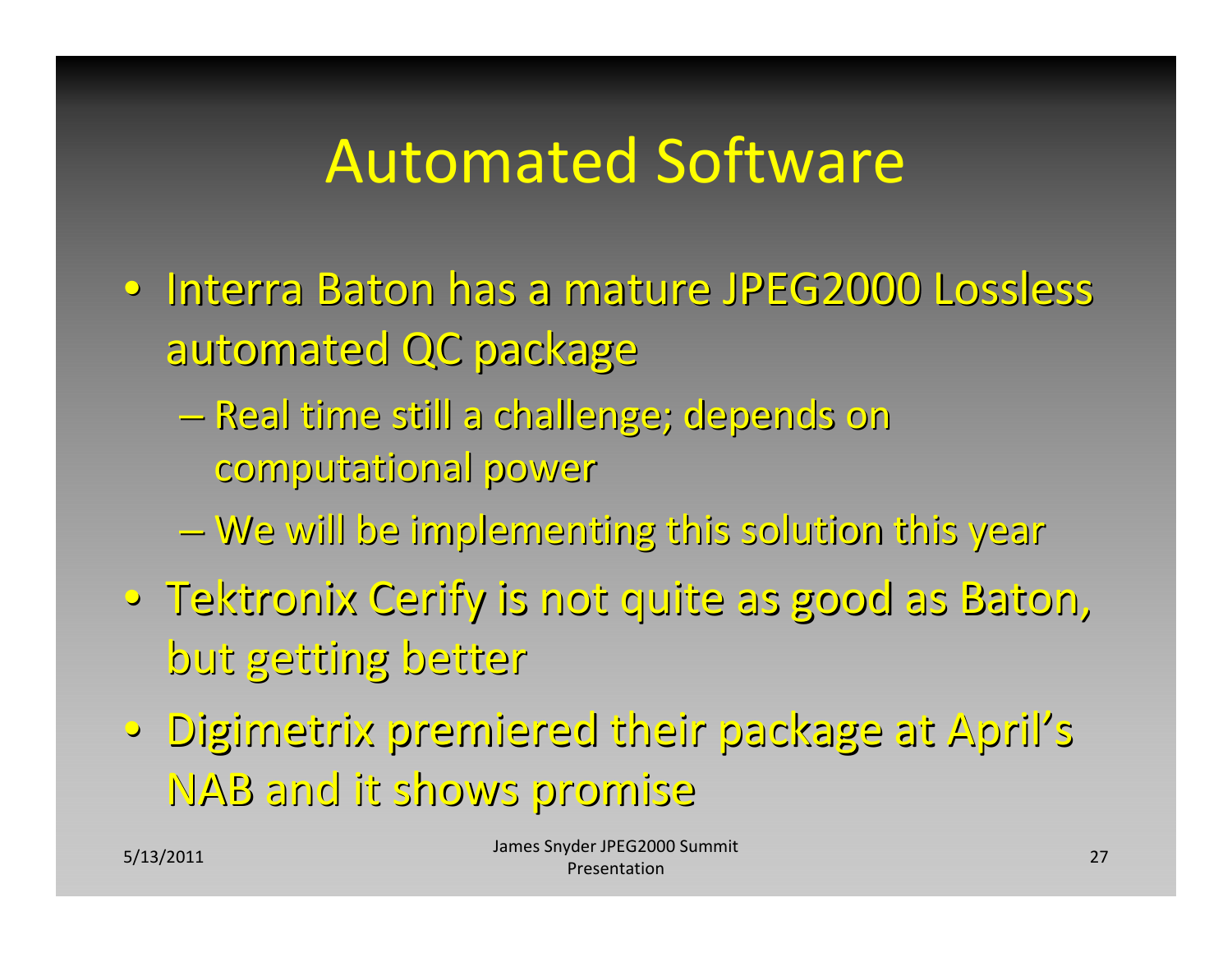## Automated Software

- · Interra Baton has a mature JPEG2000 Lossless automated QC package
	- Real time still a challenge; depends on computational computational power
	- $-$  We will be implementing this solution this year
- •Tektronix Tektronix Cerify is not quite as good as Baton, but getting getting better
- •Digimetrix Digimetrix premiered premiered their package package at April's NAB and it shows promise promise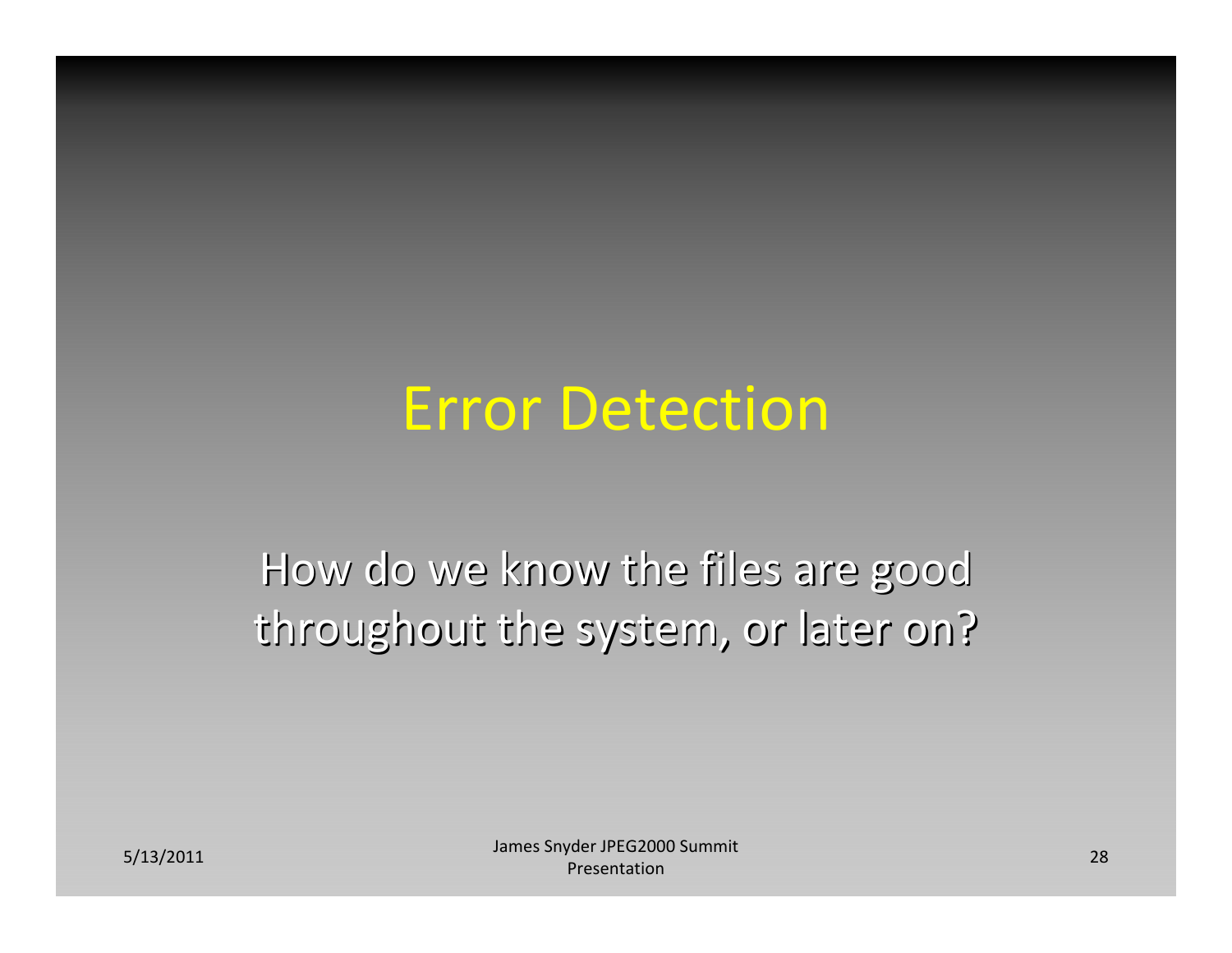#### Error Detection

How do we know the files are good throughout the system, or later on?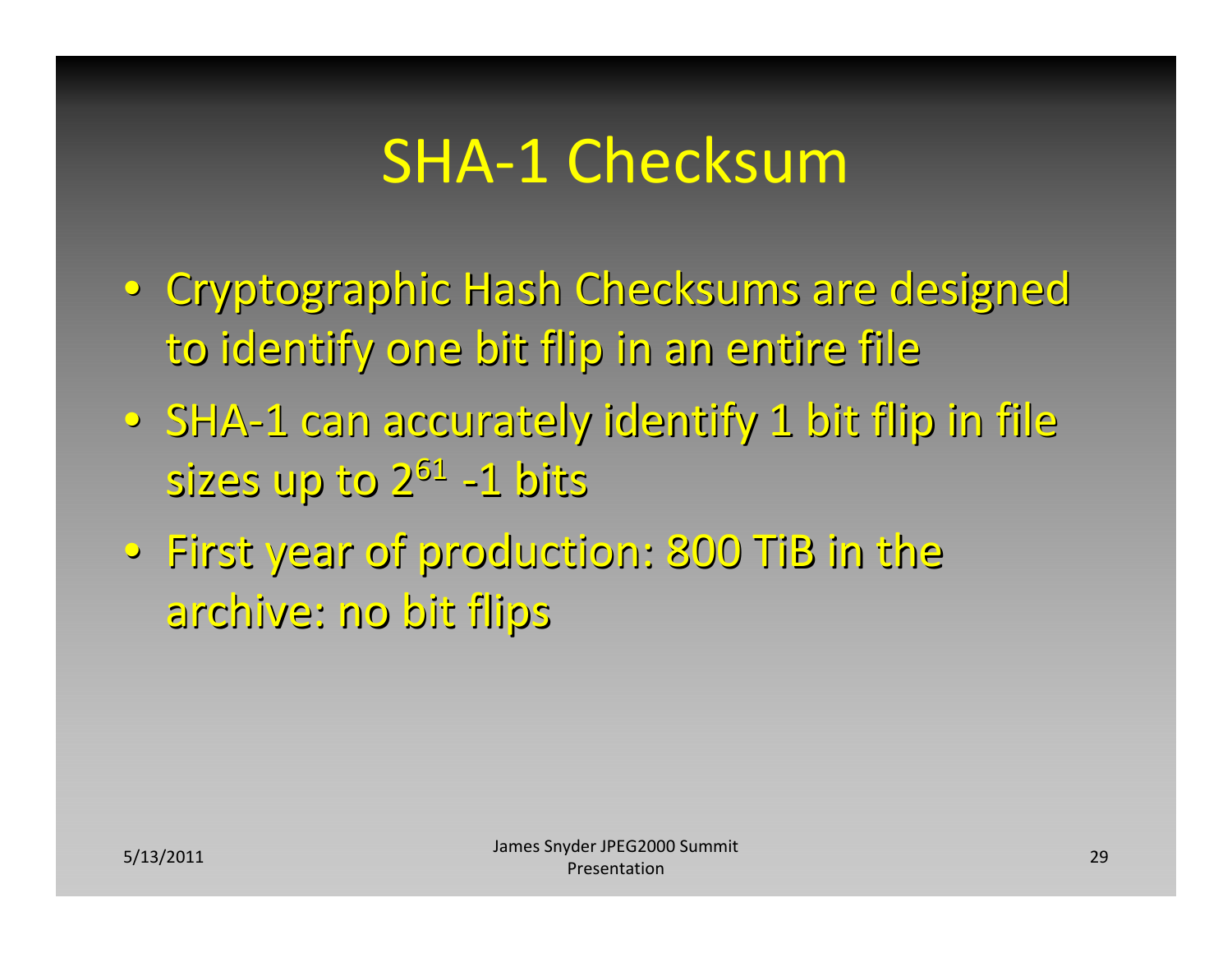## SHA‐1 Checksum

- Cryptographic Hash Checksums are designed to identify one bit flip in an entire file
- $\circ$  SHA-1 can accurately identify 1 bit flip in file sizes up to 2<sup>61</sup> -1 bits
- $\bullet\,$  First year of production: 800 TiB in the archive: archive: no bit flips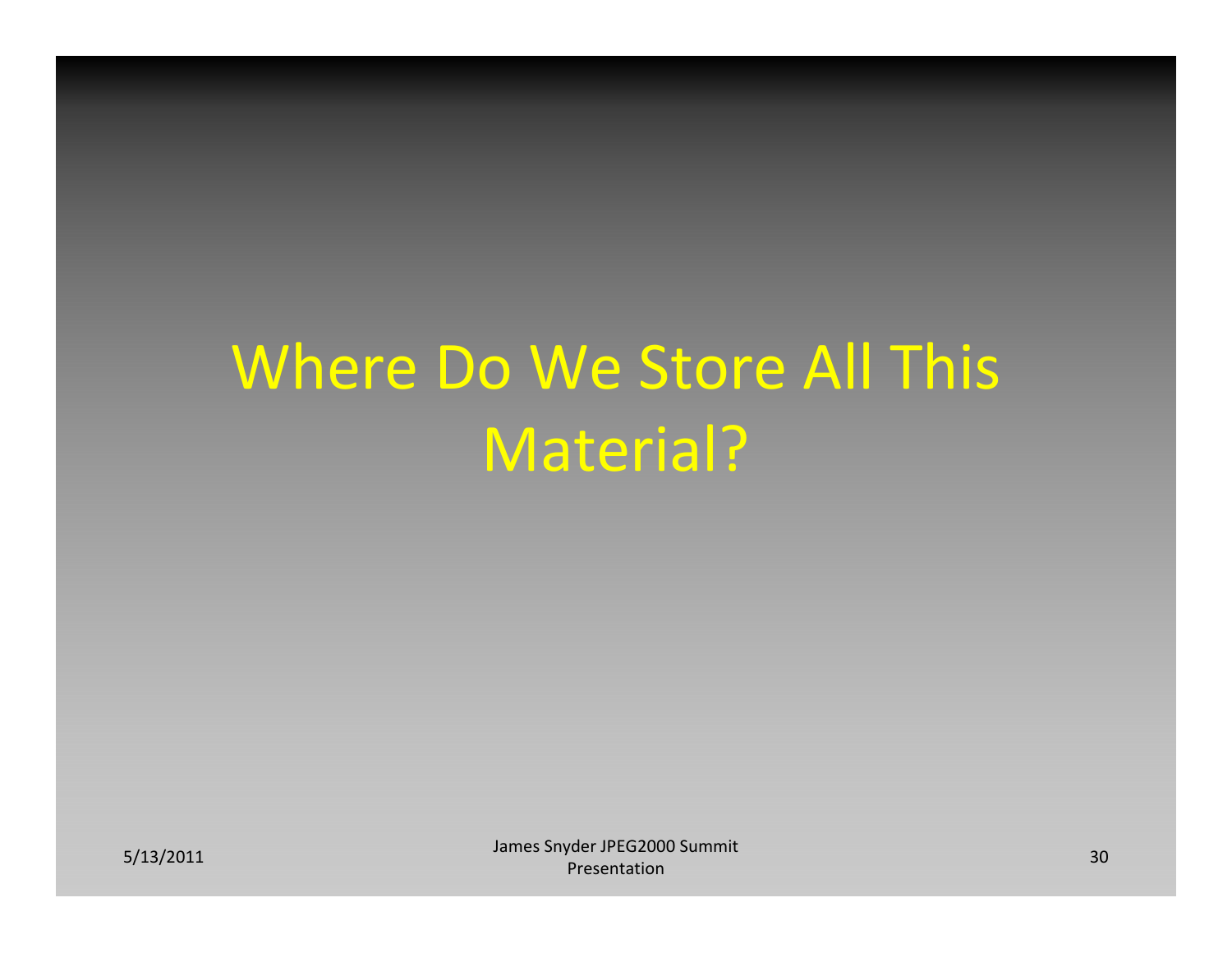# Where Do We Store All This Material?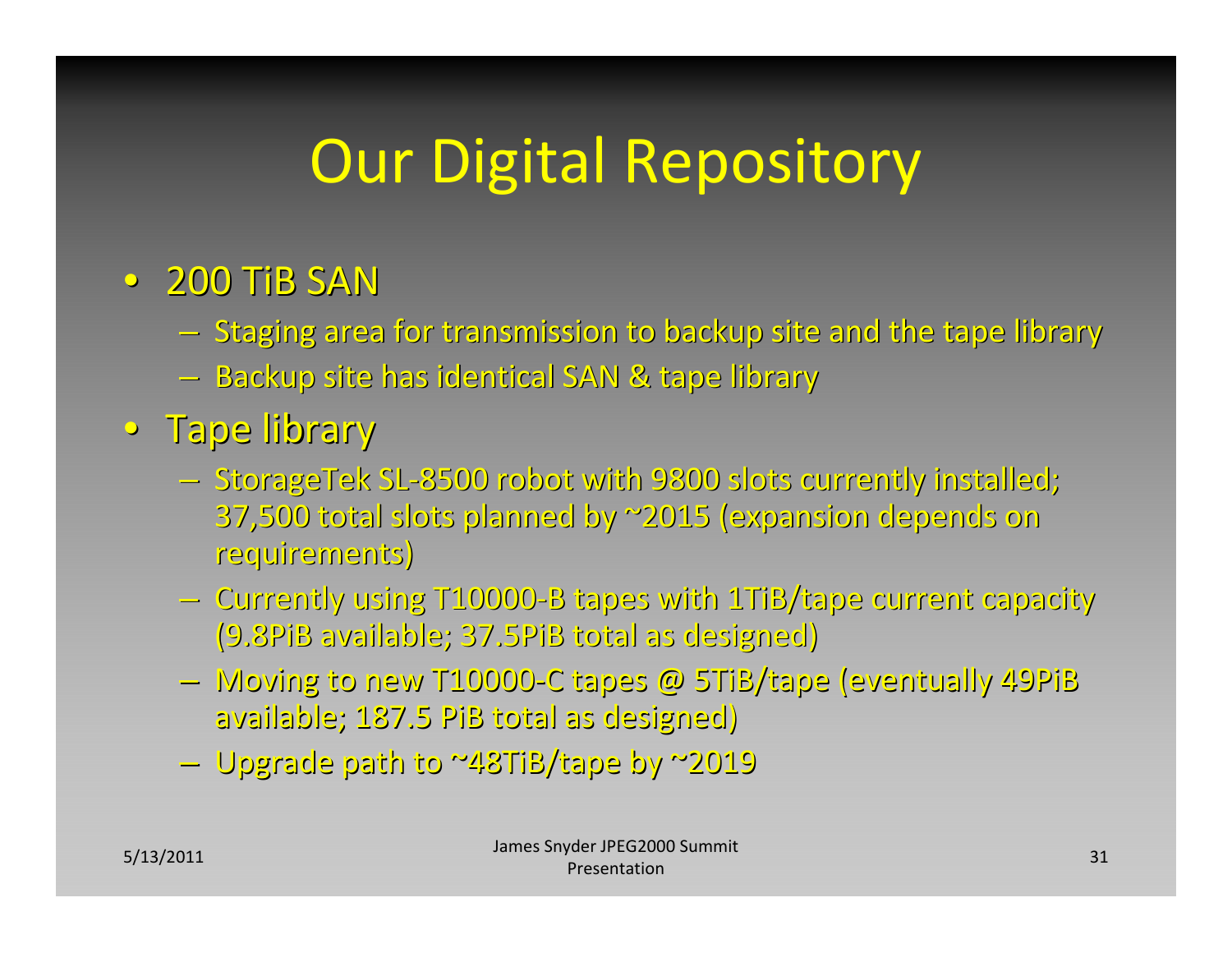# Our Digital Repository

#### •200 TiB SAN

- Staging area for transmission to backup site and the tape library
- $-$  Backup site has identical SAN & tape library
- •Tape library library
	- StorageTek SL-8500 robot with 9800 slots currently installed; 37,500 total slots planned planned by ~2015 (expansion (expansion depends depends on requirements) requirements)
	- Currently using T10000-B tapes with 1TiB/tape current capacity (9.8PiB available; 37.5PiB total as designed)
	- Moving to new T10000-C tapes @ 5TiB/tape (eventually 49PiB available; 187.5 PiB total as designed)
	- –Upgrade Upgrade path to ~48TiB/tape ~48TiB/tape by ~2019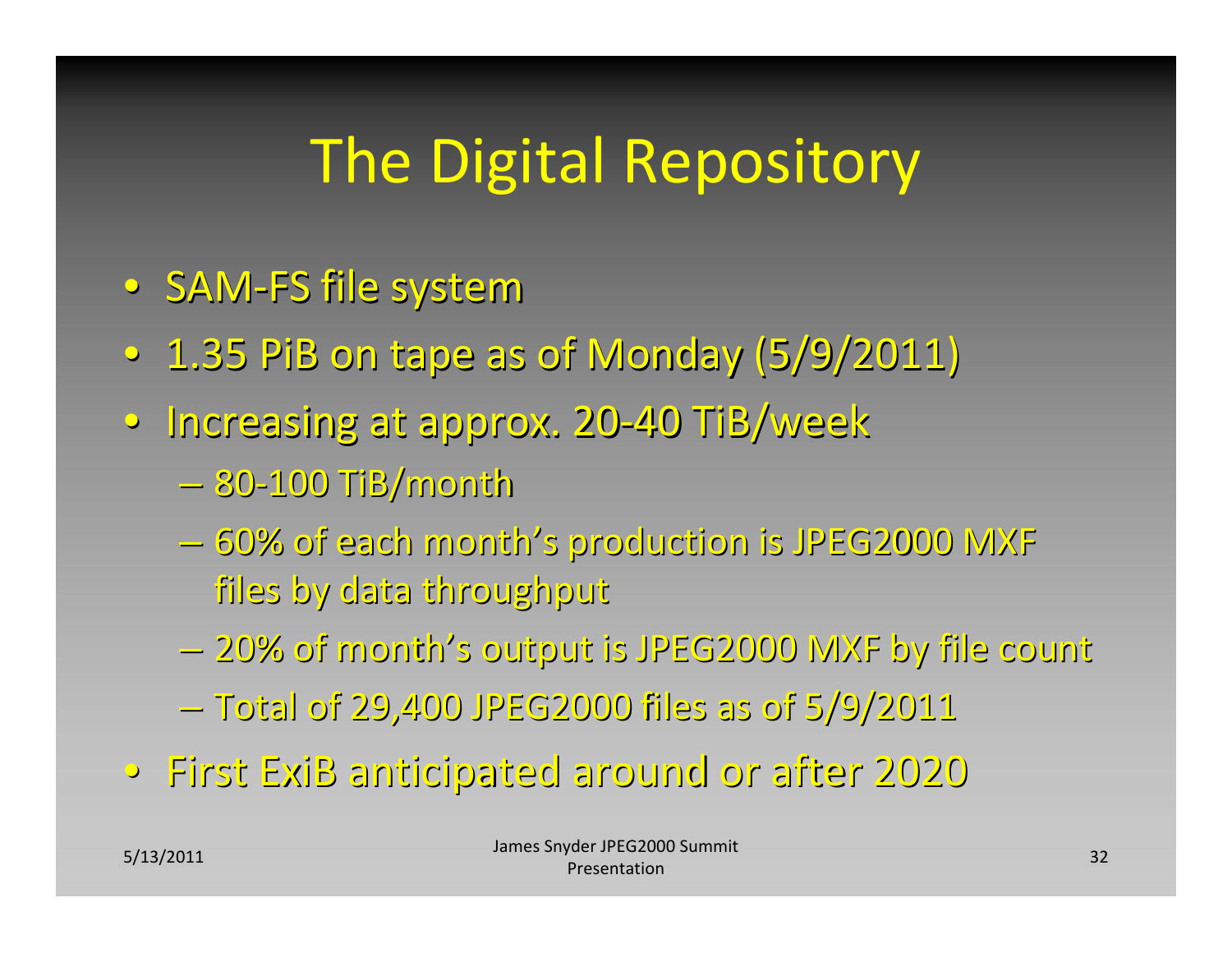# The Digital Repository

- •SAM‐FS file system
- $\,\circ\,$  1.35 PiB on tape as of Monday (5/9/2011)
- Increasing at approx. 20-40 TiB/week
	- –80‐100 TiB/month
	- $-$  60% of each month's production is JPEG2000 MXF files by data throughput throughput
	- –20% of month's output is JPEG2000 JPEG2000 MXF by file count
	- –Total of 29,400 JPEG2000 JPEG2000 files as of 5/9/2011 5/9/2011
- •First ExiB anticipated anticipated around or after 2020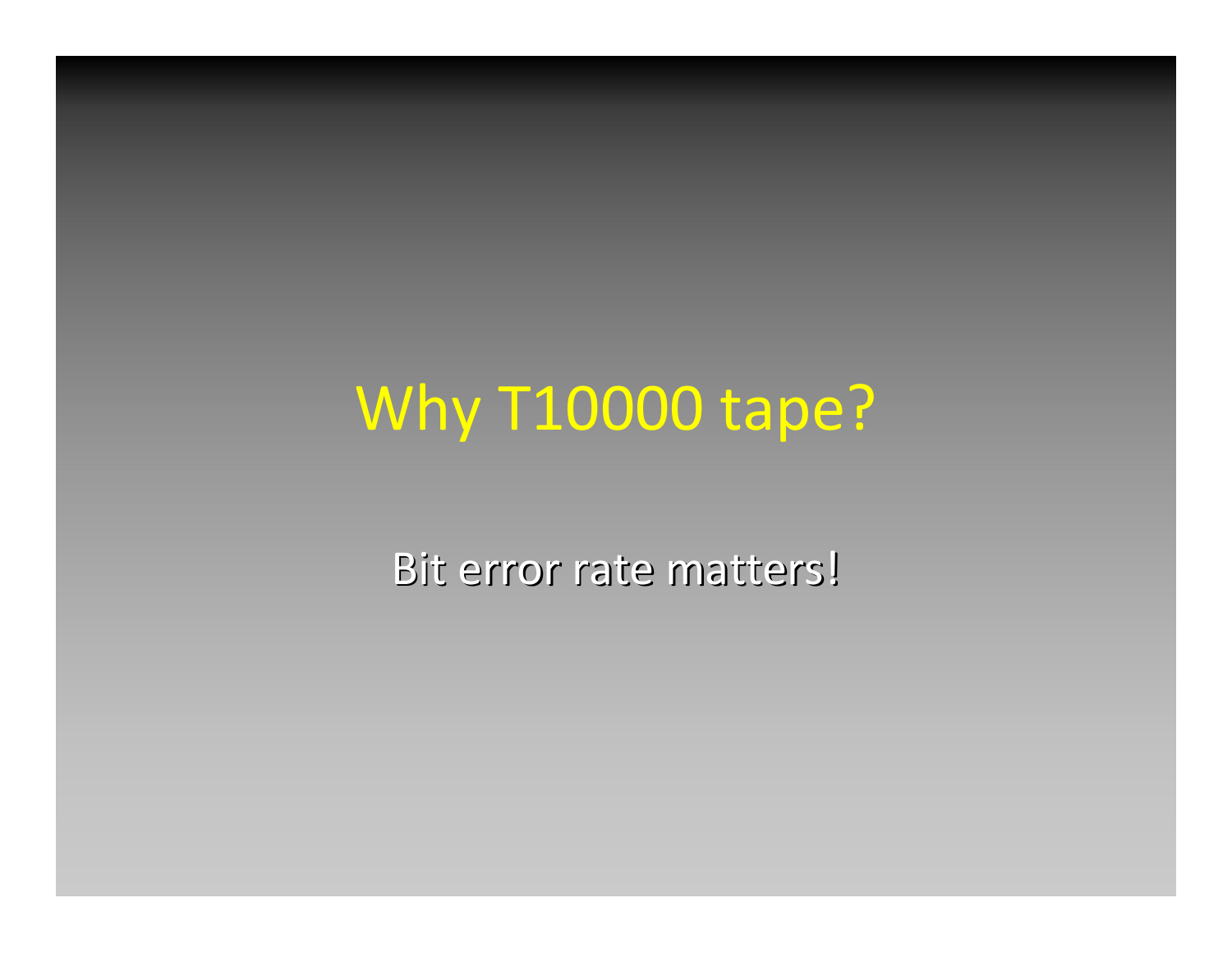### Why T10000 tape?

Bit error rate matters!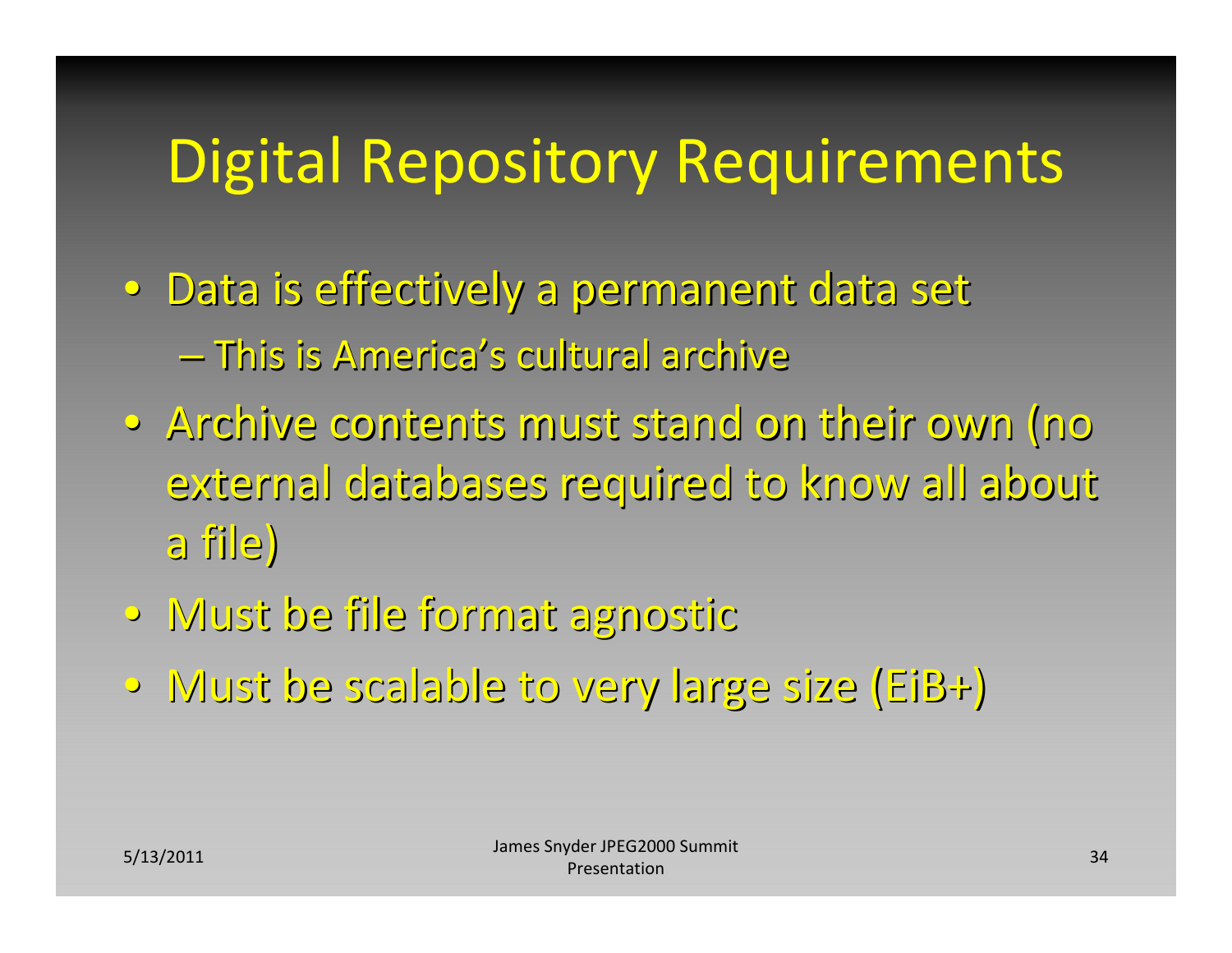# Digital Repository Requirements

- Data is effectively a permanent data set – This is America's cultural archive
- Archive contents must stand on their own (no external databases required to know all about a file)
- •Must be file format agnostic agnostic
- •Must be scalable scalable to very large size (EiB+)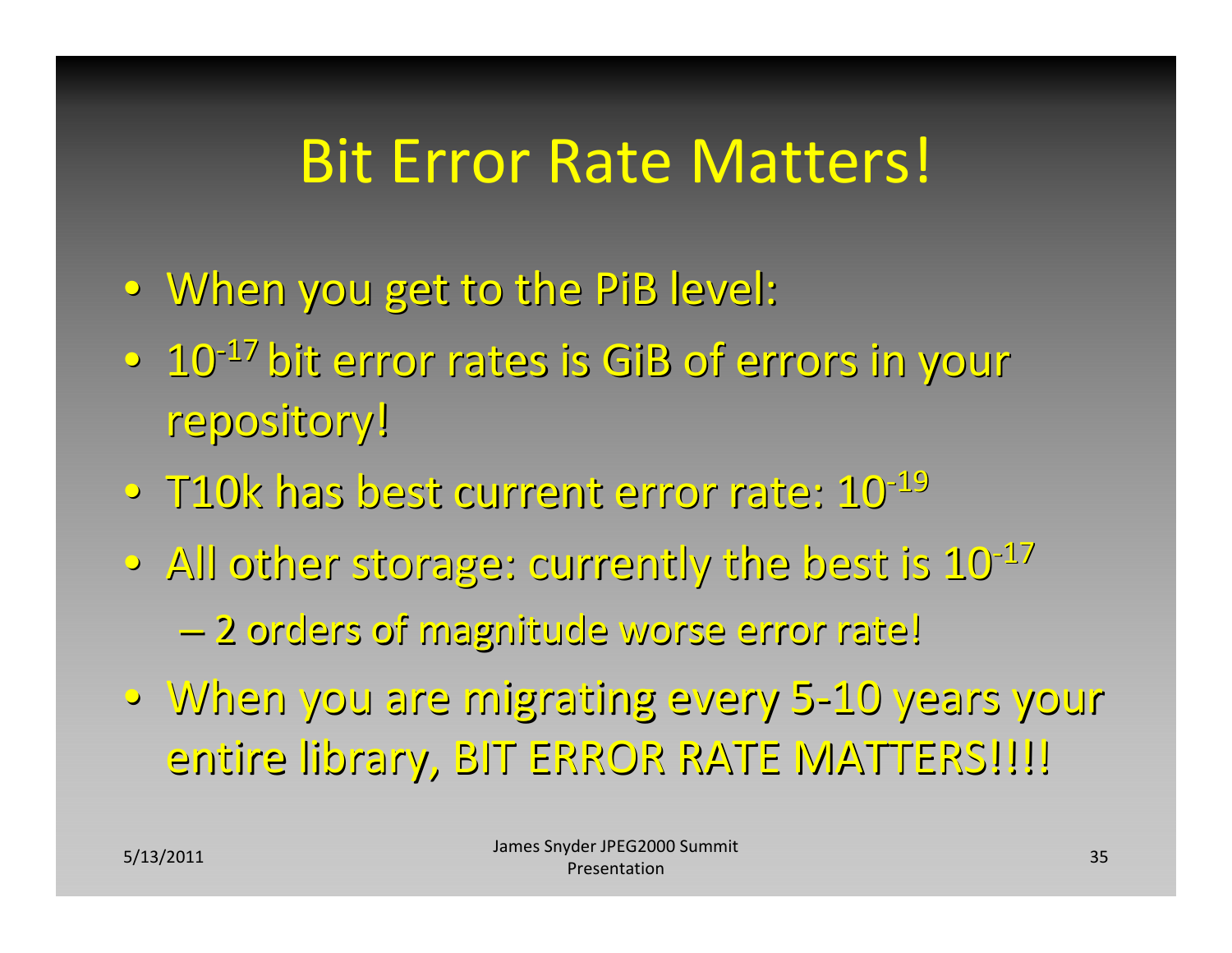#### Bit Error Rate Matters!

- •When you get to the PiB level:
- $\sim$   $10^{-17}$  bit error rates is GiB of errors in your repository!
- $\circ$  T10k has best current error rate:  $10^{-19}$
- $\bullet\,$  All other storage: currently the best is  $10^{-17}$ –2 orders of magnitude magnitude worse error rate!
- •When you are migrating migrating every 5‐10 years your entire library, BIT ERROR RATE MATTERS!!!!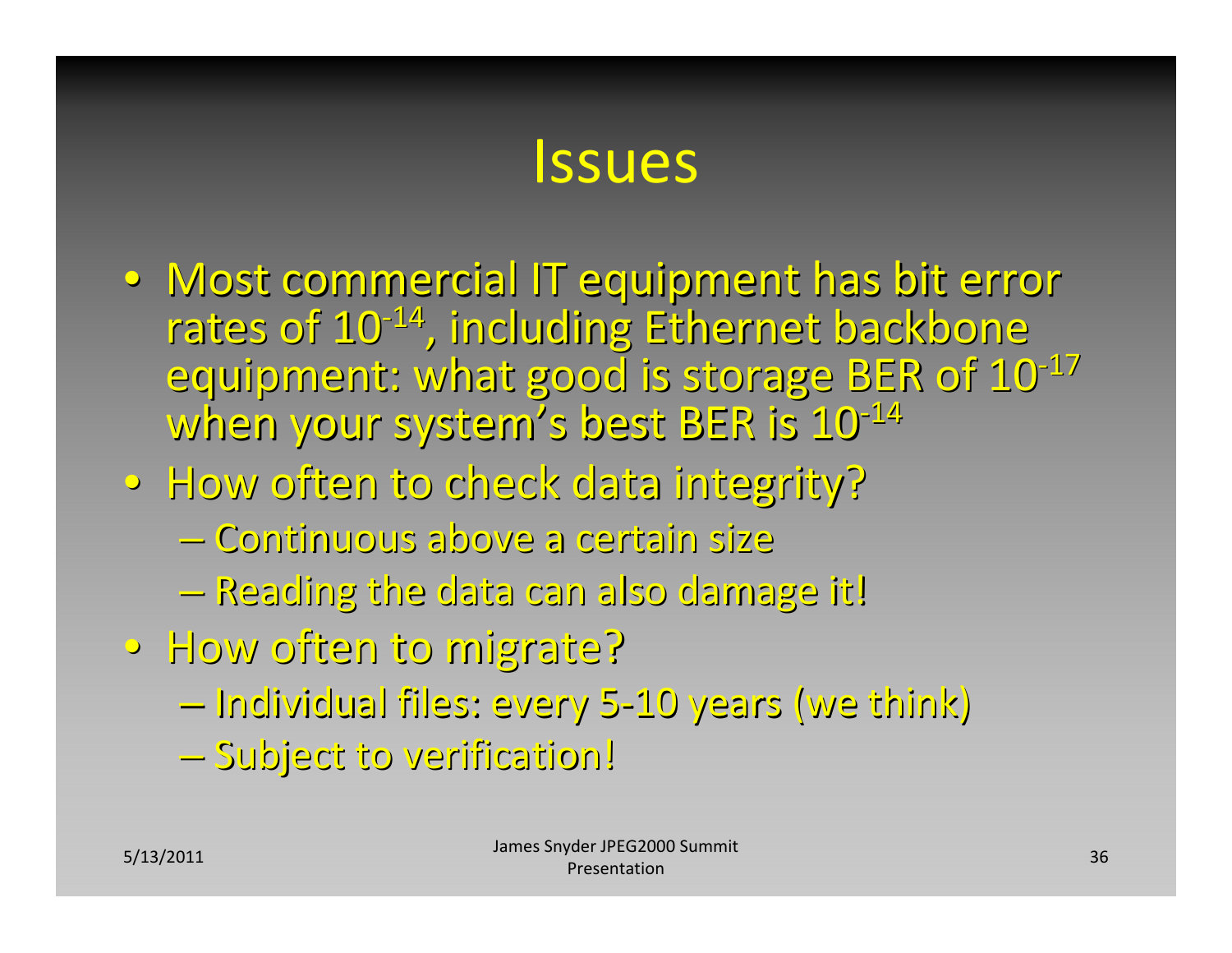#### Issues

- $\bullet~$  Most commercial IT equipment has bit error rates of 10<sup>-14</sup>, including Ethernet backbone equipment: what good is storage BER of  $10^{-17}$ when your system's best BER is 10<sup>-14</sup>
- How often to check data integrity?
	- –Continuous Continuous above <sup>a</sup> certain certain size
	- –Reading Reading the data can also damage it!
- •How often to migrate? migrate?
	- –Individual Individual files: every 5‐10 years (we think)
	- Subject to verification!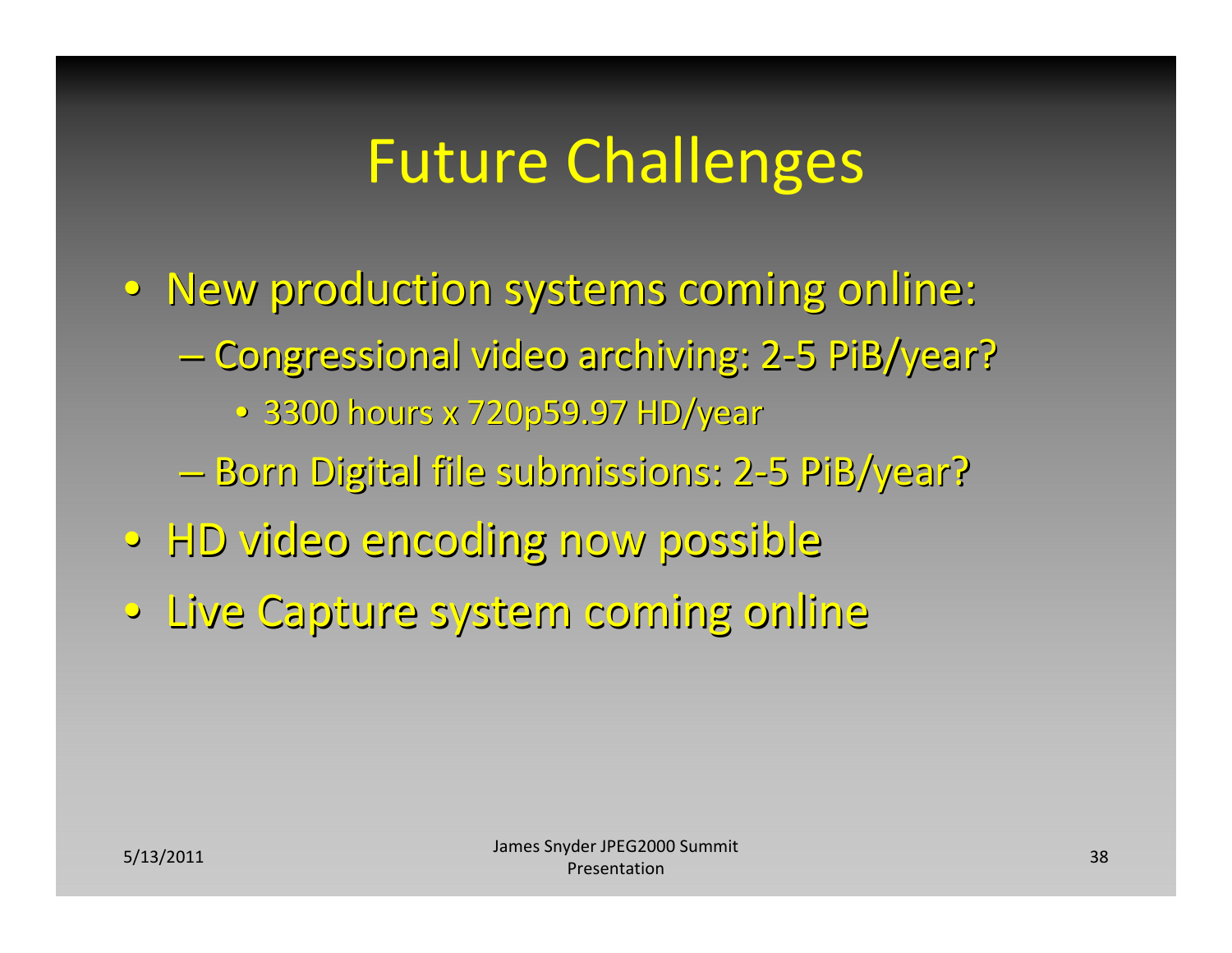- New production systems coming online:
	- Congressional video archiving: 2-5 PiB/year?

• 3300 hours x 720p59.97 HD/year

- Born Digital file submissions: 2-5 PiB/year?
- •HD video encoding encoding now possible possible
- •Live Capture Capture system coming online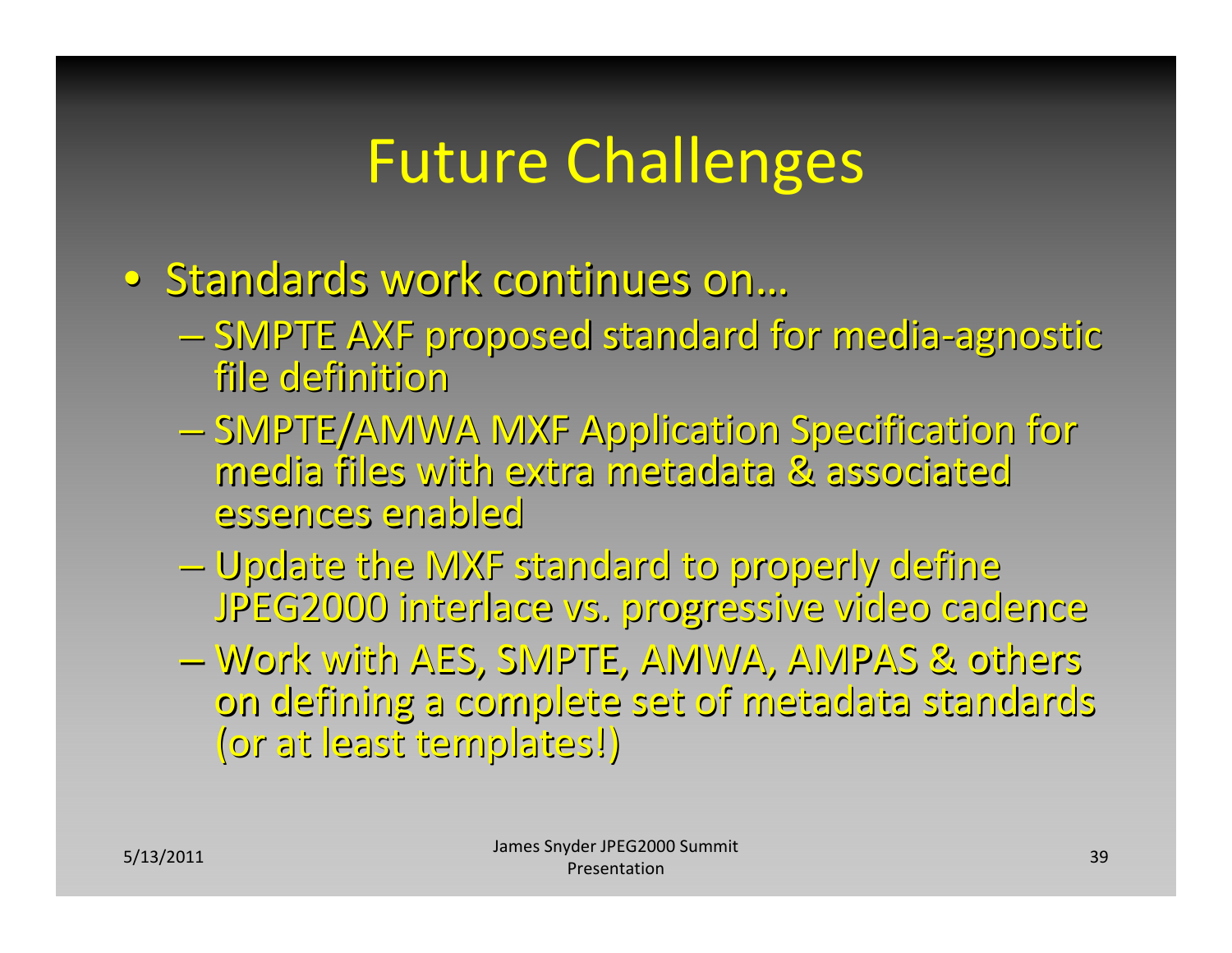- Standards work continues on…
	- SMPTE AXF proposed standard for media-agnostic file definition
	- SMPTE/AMWA MXF Application Specification for media files with extra metadata metadata & associated associatedessences essences enabled enabled
	- –Update the MXF standard standard to properly properly define JPEG2000 interlace vs. progressive video cadence
	- –Work with AES, SMPTE, AMWA, AMPAS & others on defining defining <sup>a</sup> complete complete set of metadata metadata standards standards (or at least templates!)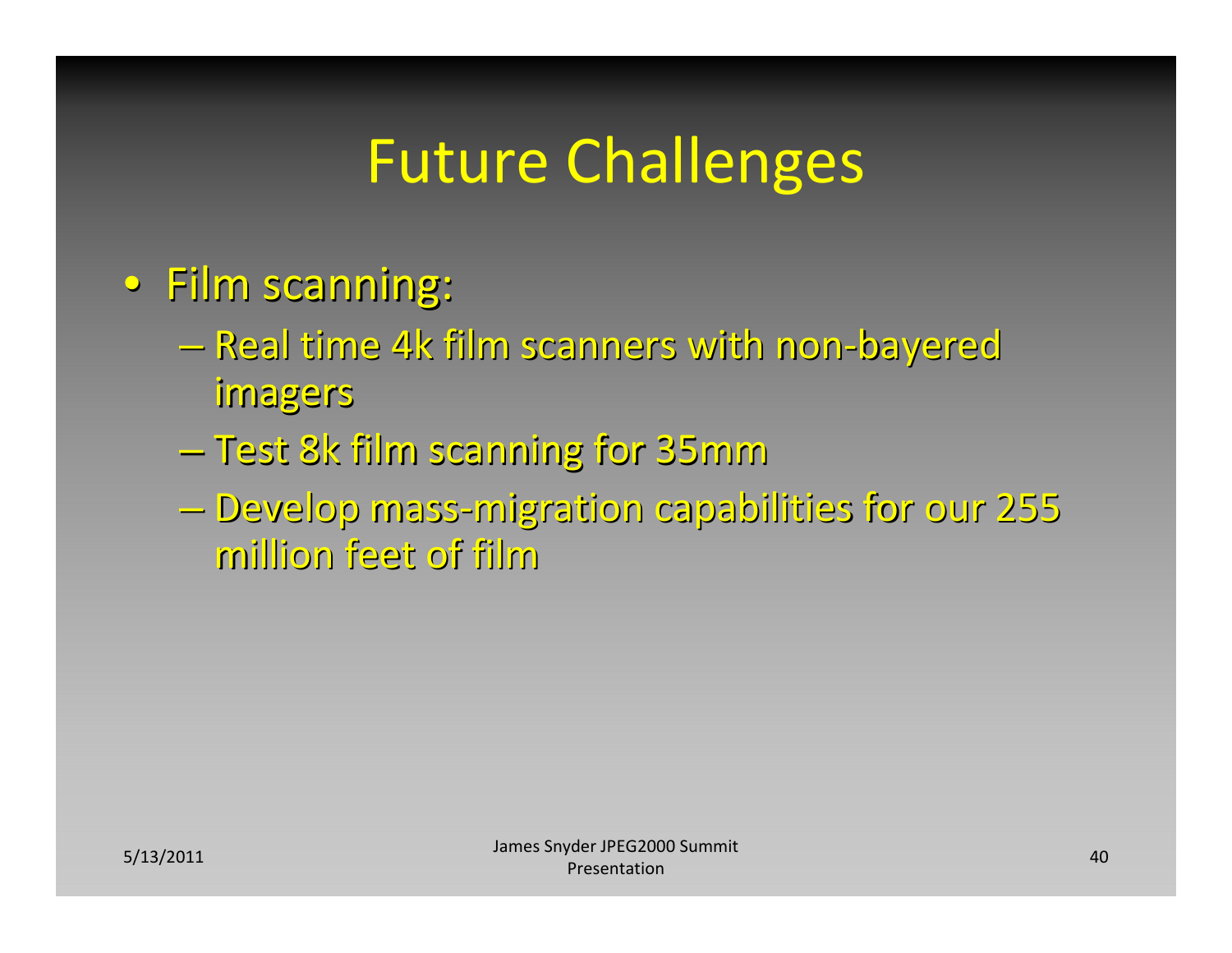- Film scanning:
	- Real time 4k film scanners with non-bayered imagers
	- $-$  Test 8k film scanning for 35 $\rm{mm}$
	- –Develop Develop mass‐migration migration capabilities capabilitiesfor our 255 million million feet of film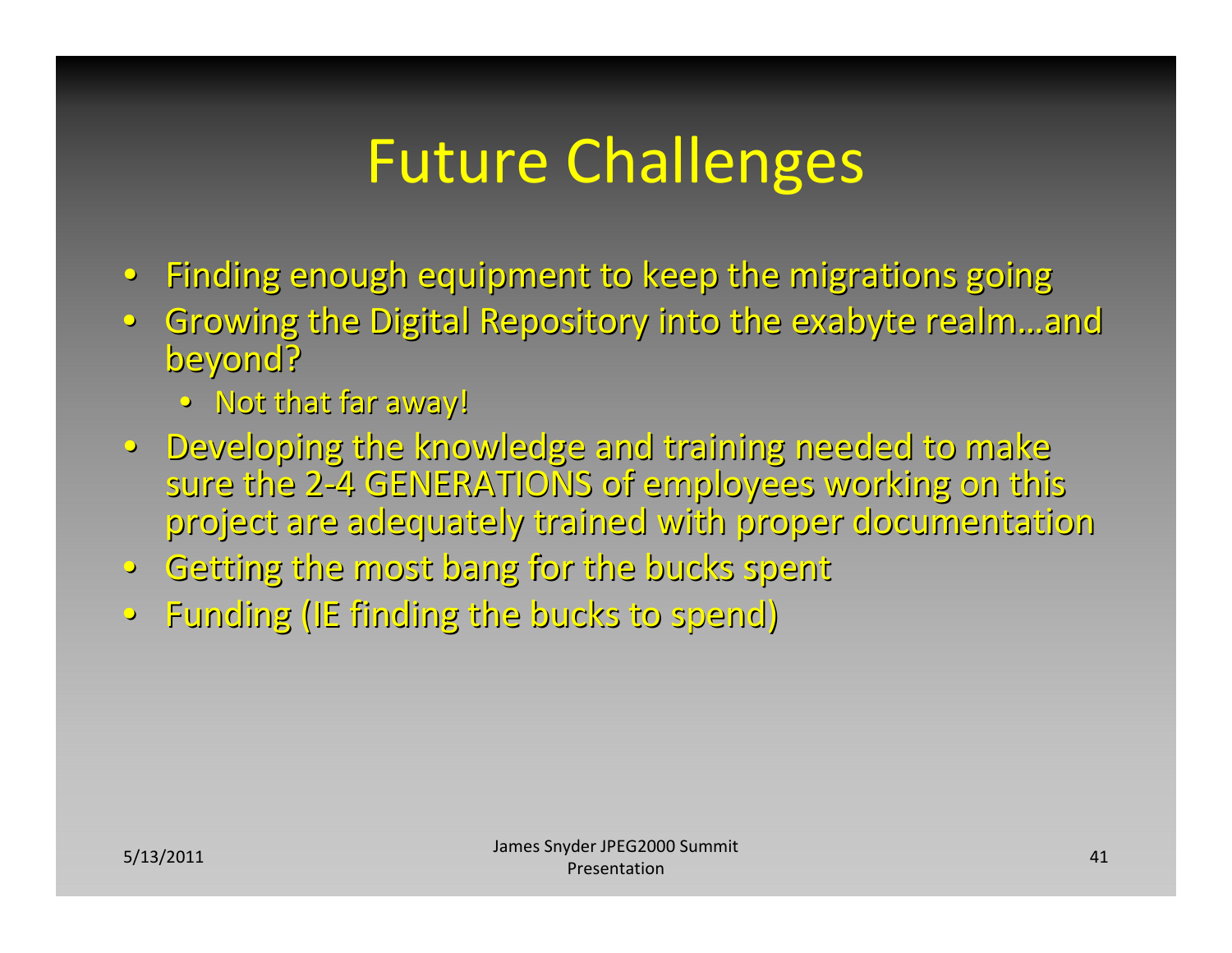- Finding enough equipment to keep the migrations going
- Growing the Digital Repository into the exabyte realm…and beyond?
	- $\bullet$  -Not that far away!
- · Developing the knowledge and training needed to make sure the 2-4 GENERATIONS of employees working on this project are adequately trained with proper documentation
- •Getting Getting the most bang for the bucks spent
- •Funding Funding (IE finding finding the bucks to spend)